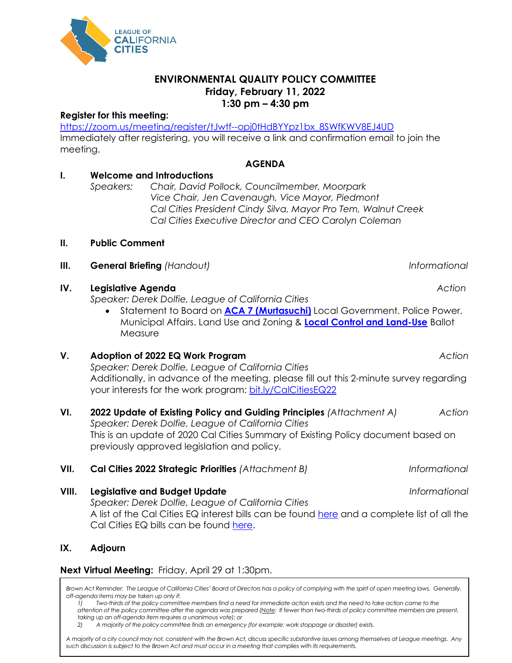

# **Register for this meeting:**

**LEAGUE OF CALIFORNIA** 

**CITIES** 

[https://zoom.us/meeting/register/tJwtf--opj0tHdBYYpz1bx\\_8SWfKWV8EJ4UD](https://zoom.us/meeting/register/tJwtf--opj0tHdBYYpz1bx_8SWfKWV8EJ4UD) Immediately after registering, you will receive a link and confirmation email to join the meeting.

# **I. Welcome and Introductions**

*Speakers: Chair, David Pollock, Councilmember, Moorpark Vice Chair, Jen Cavenaugh, Vice Mayor, Piedmont Cal Cities President Cindy Silva, Mayor Pro Tem, Walnut Creek Cal Cities Executive Director and CEO Carolyn Coleman* 

**AGENDA**

#### **II. Public Comment**

**III.** General Briefing (Handout) and the set of the set of the set of the set of the set of the set of the set of the set of the set of the set of the set of the set of the set of the set of the set of the set of the set

## **IV. Legislative Agenda** *Action*

*Speaker: Derek Dolfie, League of California Cities*

• Statement to Board on **[ACA 7 \(Murtasuchi\)](https://ctweb.capitoltrack.com/public/search.aspx?id=ad485199-37cd-42cd-8217-d19b4d257119&session=21&s=aca7&t=bill)** Local Government. Police Power. Municipal Affairs. Land Use and Zoning & **[Local Control and Land-Use](https://oag.ca.gov/system/files/initiatives/pdfs/21-0016A1%20%28Local%20Land%20Use%29.pdf)** Ballot **Measure** 

## **V. Adoption of 2022 EQ Work Program** *Action*

*Speaker: Derek Dolfie, League of California Cities* Additionally, in advance of the meeting, please fill out this 2-minute survey regarding your interests for the work program: [bit.ly/CalCitiesEQ22](https://bit.ly/CalCitiesEQ22)

#### **VI. 2022 Update of Existing Policy and Guiding Principles** *(Attachment A) Action Speaker: Derek Dolfie, League of California Cities*

This is an update of 2020 Cal Cities Summary of Existing Policy document based on previously approved legislation and policy.

## **VII. Cal Cities 2022 Strategic Priorities** *(Attachment B) Informational*

**VIII. Legislative and Budget Update** *Informational Speaker: Derek Dolfie, League of California Cities* A list of the Cal Cities EQ interest bills can be found [here](https://ctweb.capitoltrack.com/public/publish.aspx?session=21&id=b69906ac-76c8-4237-809c-6f84648e5825) and a complete list of all the Cal Cities EQ bills can be found [here.](https://ctweb.capitoltrack.com/public/publish.aspx?session=21&id=756dabd6-e4ca-4456-907d-a8011ffb2529)

## **IX. Adjourn**

## **Next Virtual Meeting:** Friday, April 29 at 1:30pm.

Brown Act Reminder: The League of California Cities' Board of Directors has a policy of complying with the spirit of open meeting laws. Generally, *off-agenda items may be taken up only if:*

*1) Two-thirds of the policy committee members find a need for immediate action exists and the need to take action came to the attention of the policy committee after the agenda was prepared (Note: If fewer than two-thirds of policy committee members are present, taking up an off-agenda item requires a unanimous vote); or*

*2) A majority of the policy committee finds an emergency (for example: work stoppage or disaster) exists.* 

*A majority of a city council may not, consistent with the Brown Act, discuss specific substantive issues among themselves at League meetings. Any such discussion is subject to the Brown Act and must occur in a meeting that complies with its requirements.*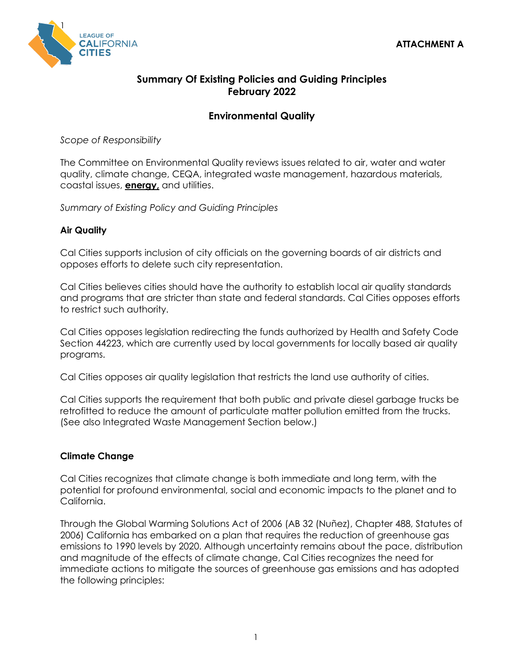

# **Summary Of Existing Policies and Guiding Principles February 2022**

# **Environmental Quality**

*Scope of Responsibility*

The Committee on Environmental Quality reviews issues related to air, water and water quality, climate change, CEQA, integrated waste management, hazardous materials, coastal issues, **energy,** and utilities.

*Summary of Existing Policy and Guiding Principles*

## **Air Quality**

Cal Cities supports inclusion of city officials on the governing boards of air districts and opposes efforts to delete such city representation.

Cal Cities believes cities should have the authority to establish local air quality standards and programs that are stricter than state and federal standards. Cal Cities opposes efforts to restrict such authority.

Cal Cities opposes legislation redirecting the funds authorized by Health and Safety Code Section 44223, which are currently used by local governments for locally based air quality programs.

Cal Cities opposes air quality legislation that restricts the land use authority of cities.

Cal Cities supports the requirement that both public and private diesel garbage trucks be retrofitted to reduce the amount of particulate matter pollution emitted from the trucks. (See also Integrated Waste Management Section below.)

## **Climate Change**

Cal Cities recognizes that climate change is both immediate and long term, with the potential for profound environmental, social and economic impacts to the planet and to California.

Through the Global Warming Solutions Act of 2006 (AB 32 (Nuñez), Chapter 488, Statutes of 2006) California has embarked on a plan that requires the reduction of greenhouse gas emissions to 1990 levels by 2020. Although uncertainty remains about the pace, distribution and magnitude of the effects of climate change, Cal Cities recognizes the need for immediate actions to mitigate the sources of greenhouse gas emissions and has adopted the following principles: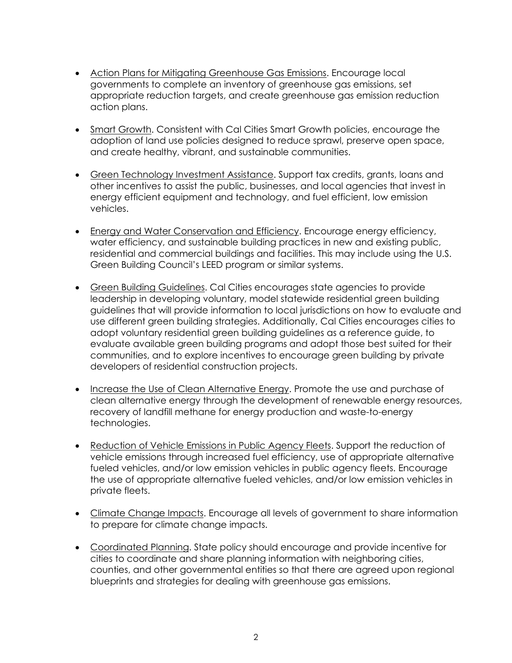- Action Plans for Mitigating Greenhouse Gas Emissions. Encourage local governments to complete an inventory of greenhouse gas emissions, set appropriate reduction targets, and create greenhouse gas emission reduction action plans.
- Smart Growth. Consistent with Cal Cities Smart Growth policies, encourage the adoption of land use policies designed to reduce sprawl, preserve open space, and create healthy, vibrant, and sustainable communities.
- Green Technology Investment Assistance. Support tax credits, grants, loans and other incentives to assist the public, businesses, and local agencies that invest in energy efficient equipment and technology, and fuel efficient, low emission vehicles.
- Energy and Water Conservation and Efficiency. Encourage energy efficiency, water efficiency, and sustainable building practices in new and existing public, residential and commercial buildings and facilities. This may include using the U.S. Green Building Council's LEED program or similar systems.
- Green Building Guidelines. Cal Cities encourages state agencies to provide leadership in developing voluntary, model statewide residential green building guidelines that will provide information to local jurisdictions on how to evaluate and use different green building strategies. Additionally, Cal Cities encourages cities to adopt voluntary residential green building guidelines as a reference guide, to evaluate available green building programs and adopt those best suited for their communities, and to explore incentives to encourage green building by private developers of residential construction projects.
- Increase the Use of Clean Alternative Energy. Promote the use and purchase of clean alternative energy through the development of renewable energy resources, recovery of landfill methane for energy production and waste-to-energy technologies.
- Reduction of Vehicle Emissions in Public Agency Fleets. Support the reduction of vehicle emissions through increased fuel efficiency, use of appropriate alternative fueled vehicles, and/or low emission vehicles in public agency fleets. Encourage the use of appropriate alternative fueled vehicles, and/or low emission vehicles in private fleets.
- Climate Change Impacts. Encourage all levels of government to share information to prepare for climate change impacts.
- Coordinated Planning. State policy should encourage and provide incentive for cities to coordinate and share planning information with neighboring cities, counties, and other governmental entities so that there are agreed upon regional blueprints and strategies for dealing with greenhouse gas emissions.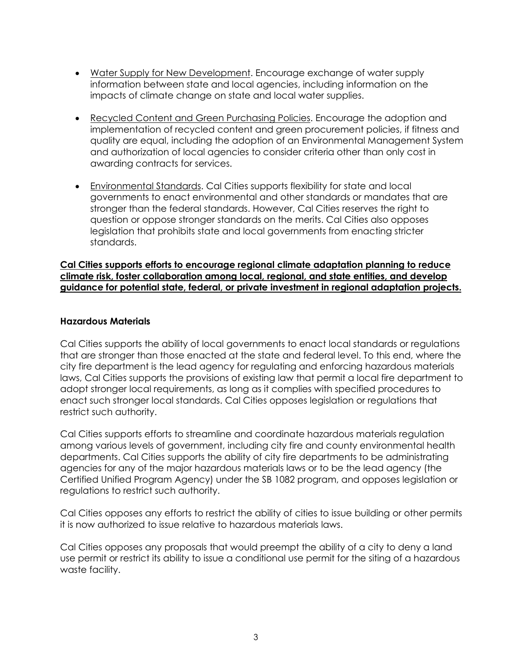- Water Supply for New Development. Encourage exchange of water supply information between state and local agencies, including information on the impacts of climate change on state and local water supplies.
- Recycled Content and Green Purchasing Policies. Encourage the adoption and implementation of recycled content and green procurement policies, if fitness and quality are equal, including the adoption of an Environmental Management System and authorization of local agencies to consider criteria other than only cost in awarding contracts for services.
- Environmental Standards. Cal Cities supports flexibility for state and local governments to enact environmental and other standards or mandates that are stronger than the federal standards. However, Cal Cities reserves the right to question or oppose stronger standards on the merits. Cal Cities also opposes legislation that prohibits state and local governments from enacting stricter standards.

**Cal Cities supports efforts to encourage regional climate adaptation planning to reduce climate risk, foster collaboration among local, regional, and state entities, and develop guidance for potential state, federal, or private investment in regional adaptation projects.**

#### **Hazardous Materials**

Cal Cities supports the ability of local governments to enact local standards or regulations that are stronger than those enacted at the state and federal level. To this end, where the city fire department is the lead agency for regulating and enforcing hazardous materials laws, Cal Cities supports the provisions of existing law that permit a local fire department to adopt stronger local requirements, as long as it complies with specified procedures to enact such stronger local standards. Cal Cities opposes legislation or regulations that restrict such authority.

Cal Cities supports efforts to streamline and coordinate hazardous materials regulation among various levels of government, including city fire and county environmental health departments. Cal Cities supports the ability of city fire departments to be administrating agencies for any of the major hazardous materials laws or to be the lead agency (the Certified Unified Program Agency) under the SB 1082 program, and opposes legislation or regulations to restrict such authority.

Cal Cities opposes any efforts to restrict the ability of cities to issue building or other permits it is now authorized to issue relative to hazardous materials laws.

Cal Cities opposes any proposals that would preempt the ability of a city to deny a land use permit or restrict its ability to issue a conditional use permit for the siting of a hazardous waste facility.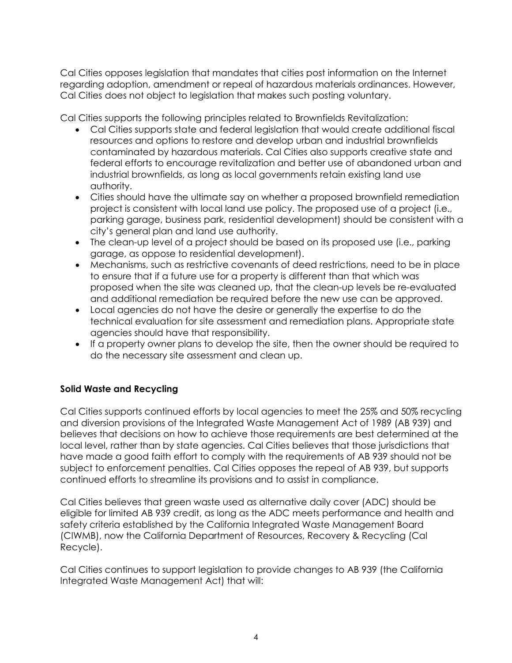Cal Cities opposes legislation that mandates that cities post information on the Internet regarding adoption, amendment or repeal of hazardous materials ordinances. However, Cal Cities does not object to legislation that makes such posting voluntary.

Cal Cities supports the following principles related to Brownfields Revitalization:

- Cal Cities supports state and federal legislation that would create additional fiscal resources and options to restore and develop urban and industrial brownfields contaminated by hazardous materials. Cal Cities also supports creative state and federal efforts to encourage revitalization and better use of abandoned urban and industrial brownfields, as long as local governments retain existing land use authority.
- Cities should have the ultimate say on whether a proposed brownfield remediation project is consistent with local land use policy. The proposed use of a project (i.e., parking garage, business park, residential development) should be consistent with a city's general plan and land use authority.
- The clean-up level of a project should be based on its proposed use (i.e., parking garage, as oppose to residential development).
- Mechanisms, such as restrictive covenants of deed restrictions, need to be in place to ensure that if a future use for a property is different than that which was proposed when the site was cleaned up, that the clean-up levels be re-evaluated and additional remediation be required before the new use can be approved.
- Local agencies do not have the desire or generally the expertise to do the technical evaluation for site assessment and remediation plans. Appropriate state agencies should have that responsibility.
- If a property owner plans to develop the site, then the owner should be required to do the necessary site assessment and clean up.

# **Solid Waste and Recycling**

Cal Cities supports continued efforts by local agencies to meet the 25% and 50% recycling and diversion provisions of the Integrated Waste Management Act of 1989 (AB 939) and believes that decisions on how to achieve those requirements are best determined at the local level, rather than by state agencies. Cal Cities believes that those jurisdictions that have made a good faith effort to comply with the requirements of AB 939 should not be subject to enforcement penalties. Cal Cities opposes the repeal of AB 939, but supports continued efforts to streamline its provisions and to assist in compliance.

Cal Cities believes that green waste used as alternative daily cover (ADC) should be eligible for limited AB 939 credit, as long as the ADC meets performance and health and safety criteria established by the California Integrated Waste Management Board (CIWMB), now the California Department of Resources, Recovery & Recycling (Cal Recycle).

Cal Cities continues to support legislation to provide changes to AB 939 (the California Integrated Waste Management Act) that will: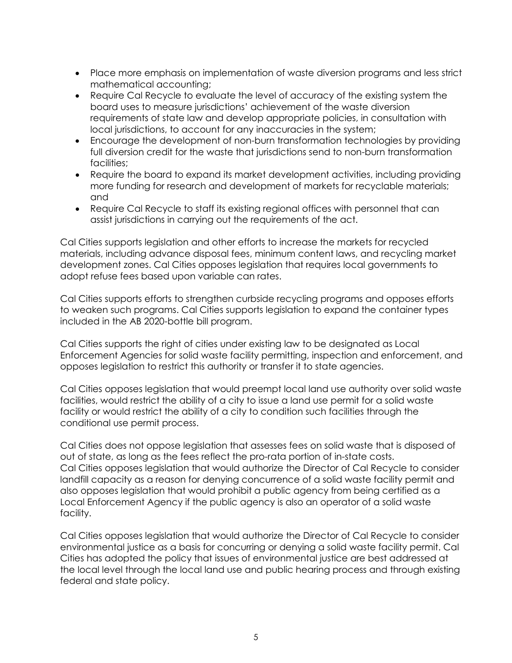- Place more emphasis on implementation of waste diversion programs and less strict mathematical accounting;
- Require Cal Recycle to evaluate the level of accuracy of the existing system the board uses to measure jurisdictions' achievement of the waste diversion requirements of state law and develop appropriate policies, in consultation with local jurisdictions, to account for any inaccuracies in the system;
- Encourage the development of non-burn transformation technologies by providing full diversion credit for the waste that jurisdictions send to non-burn transformation facilities;
- Require the board to expand its market development activities, including providing more funding for research and development of markets for recyclable materials; and
- Require Cal Recycle to staff its existing regional offices with personnel that can assist jurisdictions in carrying out the requirements of the act.

Cal Cities supports legislation and other efforts to increase the markets for recycled materials, including advance disposal fees, minimum content laws, and recycling market development zones. Cal Cities opposes legislation that requires local governments to adopt refuse fees based upon variable can rates.

Cal Cities supports efforts to strengthen curbside recycling programs and opposes efforts to weaken such programs. Cal Cities supports legislation to expand the container types included in the AB 2020-bottle bill program.

Cal Cities supports the right of cities under existing law to be designated as Local Enforcement Agencies for solid waste facility permitting, inspection and enforcement, and opposes legislation to restrict this authority or transfer it to state agencies.

Cal Cities opposes legislation that would preempt local land use authority over solid waste facilities, would restrict the ability of a city to issue a land use permit for a solid waste facility or would restrict the ability of a city to condition such facilities through the conditional use permit process.

Cal Cities does not oppose legislation that assesses fees on solid waste that is disposed of out of state, as long as the fees reflect the pro-rata portion of in-state costs. Cal Cities opposes legislation that would authorize the Director of Cal Recycle to consider landfill capacity as a reason for denying concurrence of a solid waste facility permit and also opposes legislation that would prohibit a public agency from being certified as a Local Enforcement Agency if the public agency is also an operator of a solid waste facility.

Cal Cities opposes legislation that would authorize the Director of Cal Recycle to consider environmental justice as a basis for concurring or denying a solid waste facility permit. Cal Cities has adopted the policy that issues of environmental justice are best addressed at the local level through the local land use and public hearing process and through existing federal and state policy.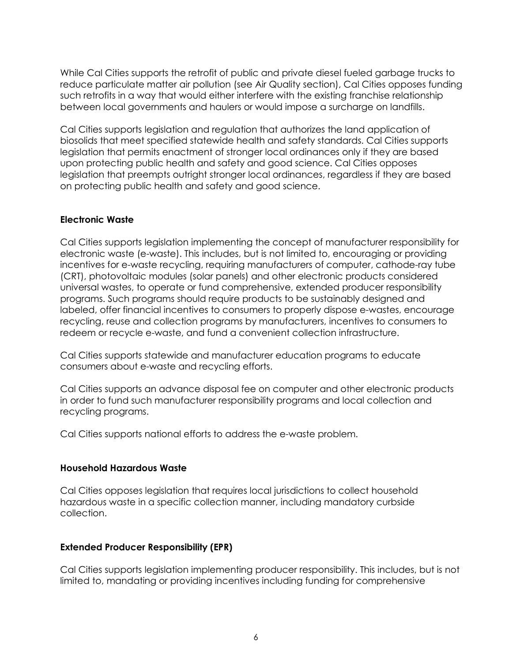While Cal Cities supports the retrofit of public and private diesel fueled garbage trucks to reduce particulate matter air pollution (see Air Quality section), Cal Cities opposes funding such retrofits in a way that would either interfere with the existing franchise relationship between local governments and haulers or would impose a surcharge on landfills.

Cal Cities supports legislation and regulation that authorizes the land application of biosolids that meet specified statewide health and safety standards. Cal Cities supports legislation that permits enactment of stronger local ordinances only if they are based upon protecting public health and safety and good science. Cal Cities opposes legislation that preempts outright stronger local ordinances, regardless if they are based on protecting public health and safety and good science.

#### **Electronic Waste**

Cal Cities supports legislation implementing the concept of manufacturer responsibility for electronic waste (e-waste). This includes, but is not limited to, encouraging or providing incentives for e-waste recycling, requiring manufacturers of computer, cathode-ray tube (CRT), photovoltaic modules (solar panels) and other electronic products considered universal wastes, to operate or fund comprehensive, extended producer responsibility programs. Such programs should require products to be sustainably designed and labeled, offer financial incentives to consumers to properly dispose e-wastes, encourage recycling, reuse and collection programs by manufacturers, incentives to consumers to redeem or recycle e-waste, and fund a convenient collection infrastructure.

Cal Cities supports statewide and manufacturer education programs to educate consumers about e-waste and recycling efforts.

Cal Cities supports an advance disposal fee on computer and other electronic products in order to fund such manufacturer responsibility programs and local collection and recycling programs.

Cal Cities supports national efforts to address the e-waste problem.

## **Household Hazardous Waste**

Cal Cities opposes legislation that requires local jurisdictions to collect household hazardous waste in a specific collection manner, including mandatory curbside collection.

## **Extended Producer Responsibility (EPR)**

Cal Cities supports legislation implementing producer responsibility. This includes, but is not limited to, mandating or providing incentives including funding for comprehensive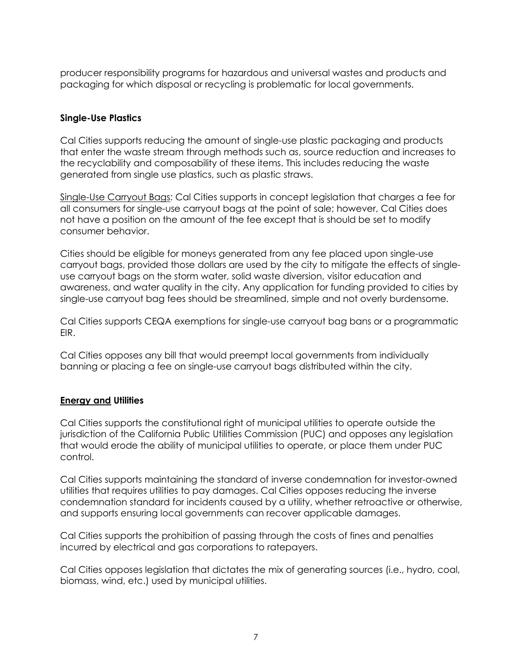producer responsibility programs for hazardous and universal wastes and products and packaging for which disposal or recycling is problematic for local governments.

#### **Single-Use Plastics**

Cal Cities supports reducing the amount of single-use plastic packaging and products that enter the waste stream through methods such as, source reduction and increases to the recyclability and composability of these items. This includes reducing the waste generated from single use plastics, such as plastic straws.

Single-Use Carryout Bags: Cal Cities supports in concept legislation that charges a fee for all consumers for single-use carryout bags at the point of sale; however, Cal Cities does not have a position on the amount of the fee except that is should be set to modify consumer behavior.

Cities should be eligible for moneys generated from any fee placed upon single-use carryout bags, provided those dollars are used by the city to mitigate the effects of singleuse carryout bags on the storm water, solid waste diversion, visitor education and awareness, and water quality in the city. Any application for funding provided to cities by single-use carryout bag fees should be streamlined, simple and not overly burdensome.

Cal Cities supports CEQA exemptions for single-use carryout bag bans or a programmatic EIR.

Cal Cities opposes any bill that would preempt local governments from individually banning or placing a fee on single-use carryout bags distributed within the city.

#### **Energy and Utilities**

Cal Cities supports the constitutional right of municipal utilities to operate outside the jurisdiction of the California Public Utilities Commission (PUC) and opposes any legislation that would erode the ability of municipal utilities to operate, or place them under PUC control.

Cal Cities supports maintaining the standard of inverse condemnation for investor-owned utilities that requires utilities to pay damages. Cal Cities opposes reducing the inverse condemnation standard for incidents caused by a utility, whether retroactive or otherwise, and supports ensuring local governments can recover applicable damages.

Cal Cities supports the prohibition of passing through the costs of fines and penalties incurred by electrical and gas corporations to ratepayers.

Cal Cities opposes legislation that dictates the mix of generating sources (i.e., hydro, coal, biomass, wind, etc.) used by municipal utilities.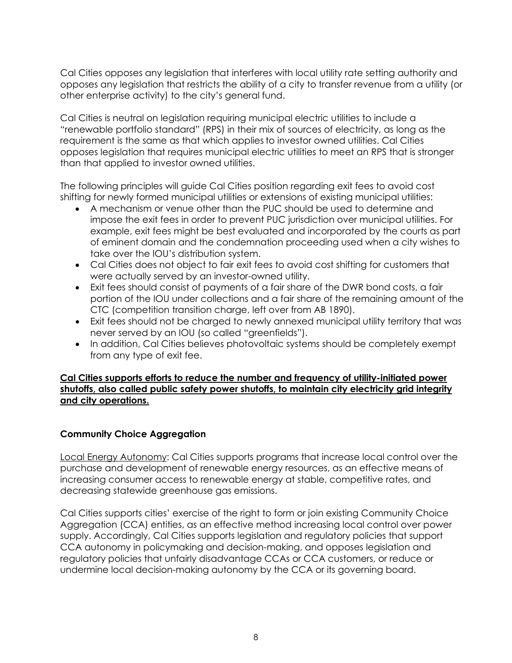Cal Cities opposes any legislation that interferes with local utility rate setting authority and opposes any legislation that restricts the ability of a city to transfer revenue from a utility (or other enterprise activity) to the city's general fund.

Cal Cities is neutral on legislation requiring municipal electric utilities to include a "renewable portfolio standard" (RPS) in their mix of sources of electricity, as long as the requirement is the same as that which applies to investor owned utilities. Cal Cities opposes legislation that requires municipal electric utilities to meet an RPS that is stronger than that applied to investor owned utilities.

The following principles will guide Cal Cities position regarding exit fees to avoid cost shifting for newly formed municipal utilities or extensions of existing municipal utilities:

- A mechanism or venue other than the PUC should be used to determine and impose the exit fees in order to prevent PUC jurisdiction over municipal utilities. For example, exit fees might be best evaluated and incorporated by the courts as part of eminent domain and the condemnation proceeding used when a city wishes to take over the IOU's distribution system.
- Cal Cities does not object to fair exit fees to avoid cost shifting for customers that were actually served by an investor-owned utility.
- Exit fees should consist of payments of a fair share of the DWR bond costs, a fair portion of the IOU under collections and a fair share of the remaining amount of the CTC (competition transition charge, left over from AB 1890).
- Exit fees should not be charged to newly annexed municipal utility territory that was never served by an IOU (so called "greenfields").
- In addition, Cal Cities believes photovoltaic systems should be completely exempt from any type of exit fee.

**Cal Cities supports efforts to reduce the number and frequency of utility-initiated power shutoffs, also called public safety power shutoffs, to maintain city electricity grid integrity and city operations.**

## **Community Choice Aggregation**

Local Energy Autonomy: Cal Cities supports programs that increase local control over the purchase and development of renewable energy resources, as an effective means of increasing consumer access to renewable energy at stable, competitive rates, and decreasing statewide greenhouse gas emissions.

Cal Cities supports cities' exercise of the right to form or join existing Community Choice Aggregation (CCA) entities, as an effective method increasing local control over power supply. Accordingly, Cal Cities supports legislation and regulatory policies that support CCA autonomy in policymaking and decision-making, and opposes legislation and regulatory policies that unfairly disadvantage CCAs or CCA customers, or reduce or undermine local decision-making autonomy by the CCA or its governing board.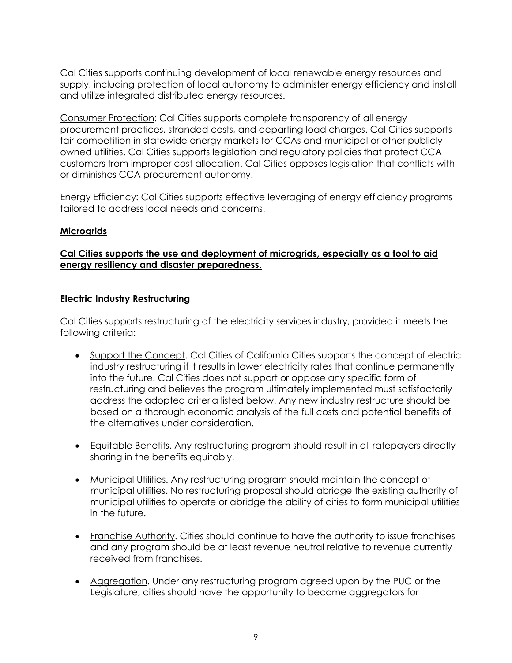Cal Cities supports continuing development of local renewable energy resources and supply, including protection of local autonomy to administer energy efficiency and install and utilize integrated distributed energy resources.

Consumer Protection: Cal Cities supports complete transparency of all energy procurement practices, stranded costs, and departing load charges. Cal Cities supports fair competition in statewide energy markets for CCAs and municipal or other publicly owned utilities. Cal Cities supports legislation and regulatory policies that protect CCA customers from improper cost allocation. Cal Cities opposes legislation that conflicts with or diminishes CCA procurement autonomy.

Energy Efficiency: Cal Cities supports effective leveraging of energy efficiency programs tailored to address local needs and concerns.

#### **Microgrids**

#### **Cal Cities supports the use and deployment of microgrids, especially as a tool to aid energy resiliency and disaster preparedness.**

#### **Electric Industry Restructuring**

Cal Cities supports restructuring of the electricity services industry, provided it meets the following criteria:

- Support the Concept. Cal Cities of California Cities supports the concept of electric industry restructuring if it results in lower electricity rates that continue permanently into the future. Cal Cities does not support or oppose any specific form of restructuring and believes the program ultimately implemented must satisfactorily address the adopted criteria listed below. Any new industry restructure should be based on a thorough economic analysis of the full costs and potential benefits of the alternatives under consideration.
- Equitable Benefits. Any restructuring program should result in all ratepayers directly sharing in the benefits equitably.
- Municipal Utilities. Any restructuring program should maintain the concept of municipal utilities. No restructuring proposal should abridge the existing authority of municipal utilities to operate or abridge the ability of cities to form municipal utilities in the future.
- Franchise Authority. Cities should continue to have the authority to issue franchises and any program should be at least revenue neutral relative to revenue currently received from franchises.
- Aggregation. Under any restructuring program agreed upon by the PUC or the Legislature, cities should have the opportunity to become aggregators for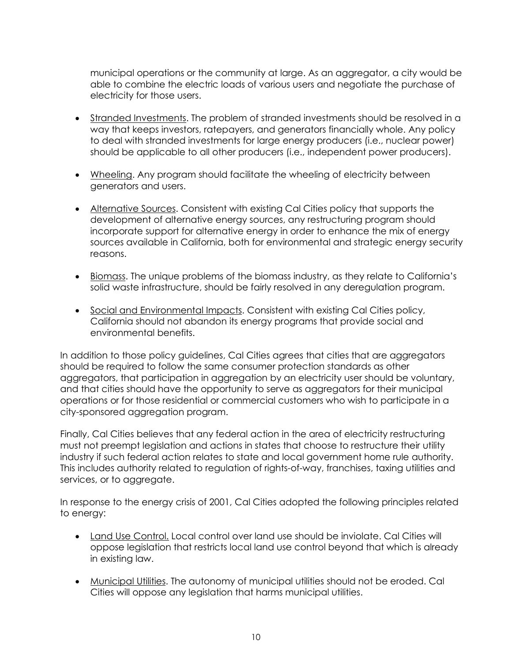municipal operations or the community at large. As an aggregator, a city would be able to combine the electric loads of various users and negotiate the purchase of electricity for those users.

- Stranded Investments. The problem of stranded investments should be resolved in a way that keeps investors, ratepayers, and generators financially whole. Any policy to deal with stranded investments for large energy producers (i.e., nuclear power) should be applicable to all other producers (i.e., independent power producers).
- Wheeling. Any program should facilitate the wheeling of electricity between generators and users.
- Alternative Sources. Consistent with existing Cal Cities policy that supports the development of alternative energy sources, any restructuring program should incorporate support for alternative energy in order to enhance the mix of energy sources available in California, both for environmental and strategic energy security reasons.
- Biomass. The unique problems of the biomass industry, as they relate to California's solid waste infrastructure, should be fairly resolved in any deregulation program.
- Social and Environmental Impacts. Consistent with existing Cal Cities policy, California should not abandon its energy programs that provide social and environmental benefits.

In addition to those policy guidelines, Cal Cities agrees that cities that are aggregators should be required to follow the same consumer protection standards as other aggregators, that participation in aggregation by an electricity user should be voluntary, and that cities should have the opportunity to serve as aggregators for their municipal operations or for those residential or commercial customers who wish to participate in a city-sponsored aggregation program.

Finally, Cal Cities believes that any federal action in the area of electricity restructuring must not preempt legislation and actions in states that choose to restructure their utility industry if such federal action relates to state and local government home rule authority. This includes authority related to regulation of rights-of-way, franchises, taxing utilities and services, or to aggregate.

In response to the energy crisis of 2001, Cal Cities adopted the following principles related to energy:

- Land Use Control. Local control over land use should be inviolate. Cal Cities will oppose legislation that restricts local land use control beyond that which is already in existing law.
- Municipal Utilities. The autonomy of municipal utilities should not be eroded. Cal Cities will oppose any legislation that harms municipal utilities.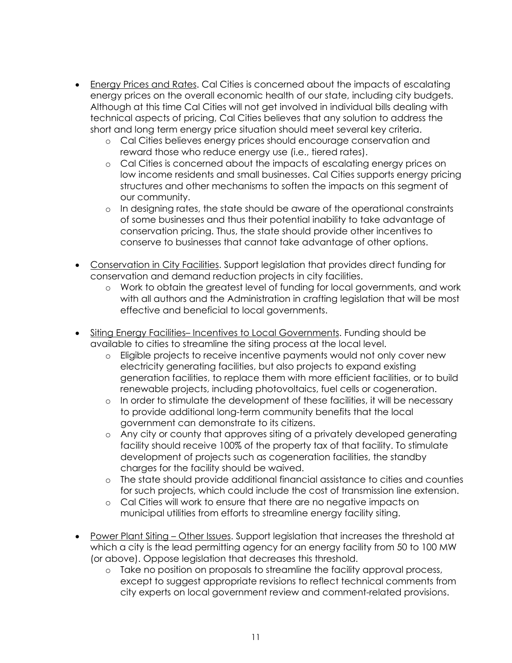- Energy Prices and Rates. Cal Cities is concerned about the impacts of escalating energy prices on the overall economic health of our state, including city budgets. Although at this time Cal Cities will not get involved in individual bills dealing with technical aspects of pricing, Cal Cities believes that any solution to address the short and long term energy price situation should meet several key criteria.
	- o Cal Cities believes energy prices should encourage conservation and reward those who reduce energy use (i.e., tiered rates).
	- o Cal Cities is concerned about the impacts of escalating energy prices on low income residents and small businesses. Cal Cities supports energy pricing structures and other mechanisms to soften the impacts on this segment of our community.
	- o In designing rates, the state should be aware of the operational constraints of some businesses and thus their potential inability to take advantage of conservation pricing. Thus, the state should provide other incentives to conserve to businesses that cannot take advantage of other options.
- Conservation in City Facilities. Support legislation that provides direct funding for conservation and demand reduction projects in city facilities.
	- o Work to obtain the greatest level of funding for local governments, and work with all authors and the Administration in crafting legislation that will be most effective and beneficial to local governments.
- Siting Energy Facilities– Incentives to Local Governments. Funding should be available to cities to streamline the siting process at the local level.
	- o Eligible projects to receive incentive payments would not only cover new electricity generating facilities, but also projects to expand existing generation facilities, to replace them with more efficient facilities, or to build renewable projects, including photovoltaics, fuel cells or cogeneration.
	- o In order to stimulate the development of these facilities, it will be necessary to provide additional long-term community benefits that the local government can demonstrate to its citizens.
	- o Any city or county that approves siting of a privately developed generating facility should receive 100% of the property tax of that facility. To stimulate development of projects such as cogeneration facilities, the standby charges for the facility should be waived.
	- o The state should provide additional financial assistance to cities and counties for such projects, which could include the cost of transmission line extension.
	- o Cal Cities will work to ensure that there are no negative impacts on municipal utilities from efforts to streamline energy facility siting.
- Power Plant Siting Other Issues. Support legislation that increases the threshold at which a city is the lead permitting agency for an energy facility from 50 to 100 MW (or above). Oppose legislation that decreases this threshold.
	- o Take no position on proposals to streamline the facility approval process, except to suggest appropriate revisions to reflect technical comments from city experts on local government review and comment-related provisions.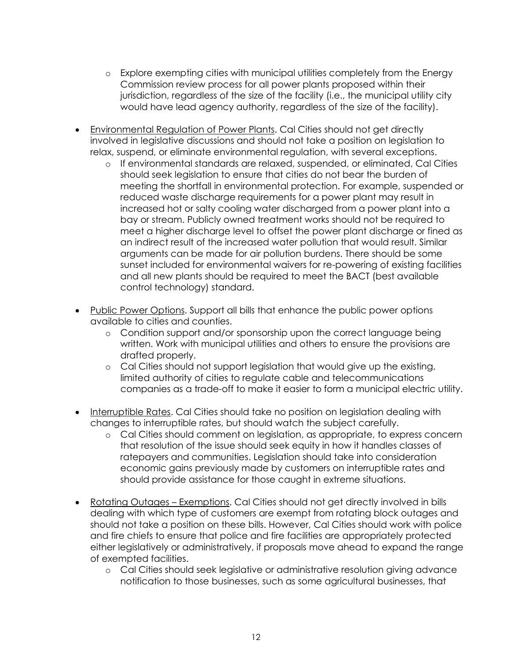- o Explore exempting cities with municipal utilities completely from the Energy Commission review process for all power plants proposed within their jurisdiction, regardless of the size of the facility (i.e., the municipal utility city would have lead agency authority, regardless of the size of the facility).
- Environmental Regulation of Power Plants. Cal Cities should not get directly involved in legislative discussions and should not take a position on legislation to relax, suspend, or eliminate environmental regulation, with several exceptions.
	- o If environmental standards are relaxed, suspended, or eliminated, Cal Cities should seek legislation to ensure that cities do not bear the burden of meeting the shortfall in environmental protection. For example, suspended or reduced waste discharge requirements for a power plant may result in increased hot or salty cooling water discharged from a power plant into a bay or stream. Publicly owned treatment works should not be required to meet a higher discharge level to offset the power plant discharge or fined as an indirect result of the increased water pollution that would result. Similar arguments can be made for air pollution burdens. There should be some sunset included for environmental waivers for re-powering of existing facilities and all new plants should be required to meet the BACT (best available control technology) standard.
- Public Power Options. Support all bills that enhance the public power options available to cities and counties.
	- o Condition support and/or sponsorship upon the correct language being written. Work with municipal utilities and others to ensure the provisions are drafted properly.
	- o Cal Cities should not support legislation that would give up the existing, limited authority of cities to regulate cable and telecommunications companies as a trade-off to make it easier to form a municipal electric utility.
- Interruptible Rates. Cal Cities should take no position on legislation dealing with changes to interruptible rates, but should watch the subject carefully.
	- o Cal Cities should comment on legislation, as appropriate, to express concern that resolution of the issue should seek equity in how it handles classes of ratepayers and communities. Legislation should take into consideration economic gains previously made by customers on interruptible rates and should provide assistance for those caught in extreme situations.
- Rotating Outages Exemptions. Cal Cities should not get directly involved in bills dealing with which type of customers are exempt from rotating block outages and should not take a position on these bills. However, Cal Cities should work with police and fire chiefs to ensure that police and fire facilities are appropriately protected either legislatively or administratively, if proposals move ahead to expand the range of exempted facilities.
	- o Cal Cities should seek legislative or administrative resolution giving advance notification to those businesses, such as some agricultural businesses, that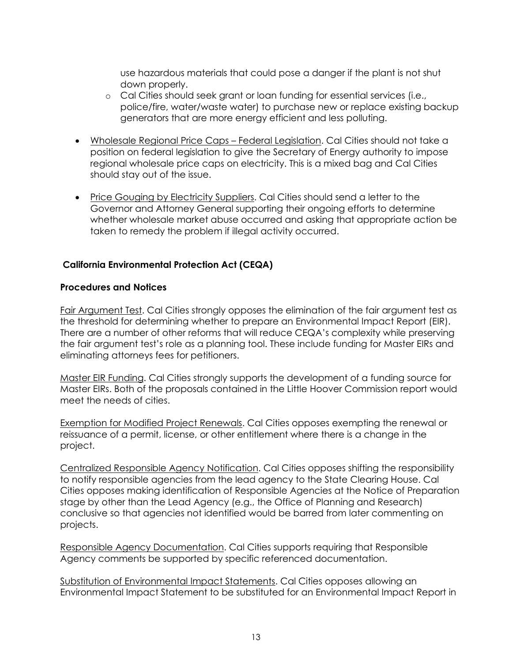use hazardous materials that could pose a danger if the plant is not shut down properly.

- o Cal Cities should seek grant or loan funding for essential services (i.e., police/fire, water/waste water) to purchase new or replace existing backup generators that are more energy efficient and less polluting.
- Wholesale Regional Price Caps Federal Legislation. Cal Cities should not take a position on federal legislation to give the Secretary of Energy authority to impose regional wholesale price caps on electricity. This is a mixed bag and Cal Cities should stay out of the issue.
- Price Gouging by Electricity Suppliers. Cal Cities should send a letter to the Governor and Attorney General supporting their ongoing efforts to determine whether wholesale market abuse occurred and asking that appropriate action be taken to remedy the problem if illegal activity occurred.

# **California Environmental Protection Act (CEQA)**

#### **Procedures and Notices**

Fair Argument Test. Cal Cities strongly opposes the elimination of the fair argument test as the threshold for determining whether to prepare an Environmental Impact Report (EIR). There are a number of other reforms that will reduce CEQA's complexity while preserving the fair argument test's role as a planning tool. These include funding for Master EIRs and eliminating attorneys fees for petitioners.

Master EIR Funding. Cal Cities strongly supports the development of a funding source for Master EIRs. Both of the proposals contained in the Little Hoover Commission report would meet the needs of cities.

Exemption for Modified Project Renewals. Cal Cities opposes exempting the renewal or reissuance of a permit, license, or other entitlement where there is a change in the project.

Centralized Responsible Agency Notification. Cal Cities opposes shifting the responsibility to notify responsible agencies from the lead agency to the State Clearing House. Cal Cities opposes making identification of Responsible Agencies at the Notice of Preparation stage by other than the Lead Agency (e.g., the Office of Planning and Research) conclusive so that agencies not identified would be barred from later commenting on projects.

Responsible Agency Documentation. Cal Cities supports requiring that Responsible Agency comments be supported by specific referenced documentation.

Substitution of Environmental Impact Statements. Cal Cities opposes allowing an Environmental Impact Statement to be substituted for an Environmental Impact Report in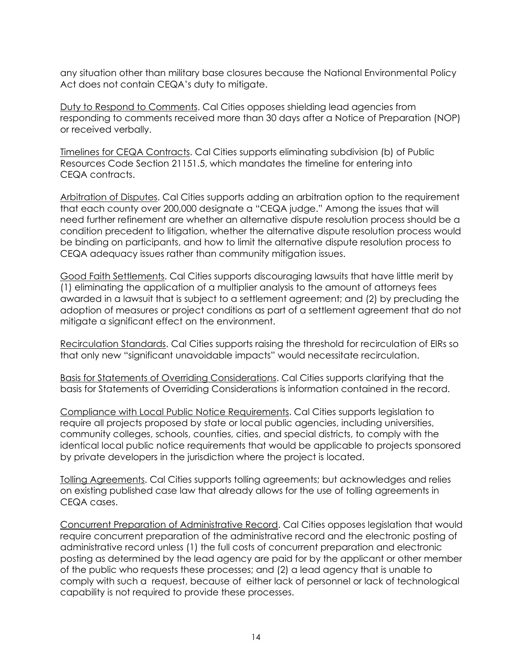any situation other than military base closures because the National Environmental Policy Act does not contain CEQA's duty to mitigate.

Duty to Respond to Comments. Cal Cities opposes shielding lead agencies from responding to comments received more than 30 days after a Notice of Preparation (NOP) or received verbally.

Timelines for CEQA Contracts. Cal Cities supports eliminating subdivision (b) of Public Resources Code Section 21151.5, which mandates the timeline for entering into CEQA contracts.

Arbitration of Disputes. Cal Cities supports adding an arbitration option to the requirement that each county over 200,000 designate a "CEQA judge." Among the issues that will need further refinement are whether an alternative dispute resolution process should be a condition precedent to litigation, whether the alternative dispute resolution process would be binding on participants, and how to limit the alternative dispute resolution process to CEQA adequacy issues rather than community mitigation issues.

Good Faith Settlements. Cal Cities supports discouraging lawsuits that have little merit by (1) eliminating the application of a multiplier analysis to the amount of attorneys fees awarded in a lawsuit that is subject to a settlement agreement; and (2) by precluding the adoption of measures or project conditions as part of a settlement agreement that do not mitigate a significant effect on the environment.

Recirculation Standards. Cal Cities supports raising the threshold for recirculation of EIRs so that only new "significant unavoidable impacts" would necessitate recirculation.

Basis for Statements of Overriding Considerations. Cal Cities supports clarifying that the basis for Statements of Overriding Considerations is information contained in the record.

Compliance with Local Public Notice Requirements. Cal Cities supports legislation to require all projects proposed by state or local public agencies, including universities, community colleges, schools, counties, cities, and special districts, to comply with the identical local public notice requirements that would be applicable to projects sponsored by private developers in the jurisdiction where the project is located.

Tolling Agreements. Cal Cities supports tolling agreements; but acknowledges and relies on existing published case law that already allows for the use of tolling agreements in CEQA cases.

Concurrent Preparation of Administrative Record. Cal Cities opposes legislation that would require concurrent preparation of the administrative record and the electronic posting of administrative record unless (1) the full costs of concurrent preparation and electronic posting as determined by the lead agency are paid for by the applicant or other member of the public who requests these processes; and (2) a lead agency that is unable to comply with such a request, because of either lack of personnel or lack of technological capability is not required to provide these processes.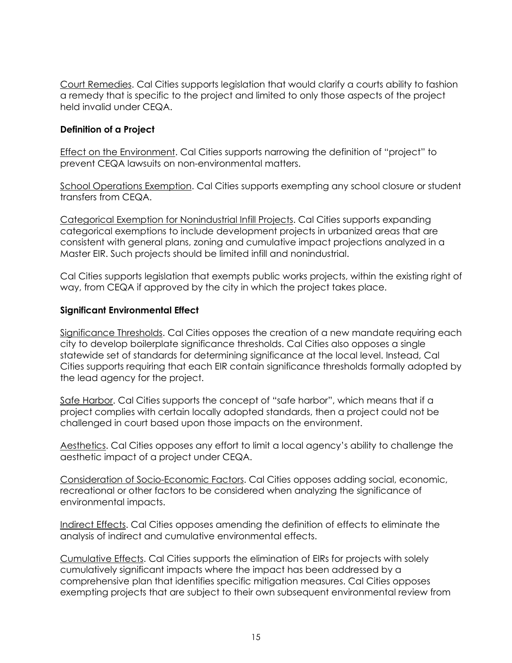Court Remedies. Cal Cities supports legislation that would clarify a courts ability to fashion a remedy that is specific to the project and limited to only those aspects of the project held invalid under CEQA.

## **Definition of a Project**

Effect on the Environment. Cal Cities supports narrowing the definition of "project" to prevent CEQA lawsuits on non-environmental matters.

School Operations Exemption. Cal Cities supports exempting any school closure or student transfers from CEQA.

Categorical Exemption for Nonindustrial Infill Projects. Cal Cities supports expanding categorical exemptions to include development projects in urbanized areas that are consistent with general plans, zoning and cumulative impact projections analyzed in a Master EIR. Such projects should be limited infill and nonindustrial.

Cal Cities supports legislation that exempts public works projects, within the existing right of way, from CEQA if approved by the city in which the project takes place.

## **Significant Environmental Effect**

Significance Thresholds. Cal Cities opposes the creation of a new mandate requiring each city to develop boilerplate significance thresholds. Cal Cities also opposes a single statewide set of standards for determining significance at the local level. Instead, Cal Cities supports requiring that each EIR contain significance thresholds formally adopted by the lead agency for the project.

Safe Harbor. Cal Cities supports the concept of "safe harbor", which means that if a project complies with certain locally adopted standards, then a project could not be challenged in court based upon those impacts on the environment.

Aesthetics. Cal Cities opposes any effort to limit a local agency's ability to challenge the aesthetic impact of a project under CEQA.

Consideration of Socio-Economic Factors. Cal Cities opposes adding social, economic, recreational or other factors to be considered when analyzing the significance of environmental impacts.

Indirect Effects. Cal Cities opposes amending the definition of effects to eliminate the analysis of indirect and cumulative environmental effects.

Cumulative Effects. Cal Cities supports the elimination of EIRs for projects with solely cumulatively significant impacts where the impact has been addressed by a comprehensive plan that identifies specific mitigation measures. Cal Cities opposes exempting projects that are subject to their own subsequent environmental review from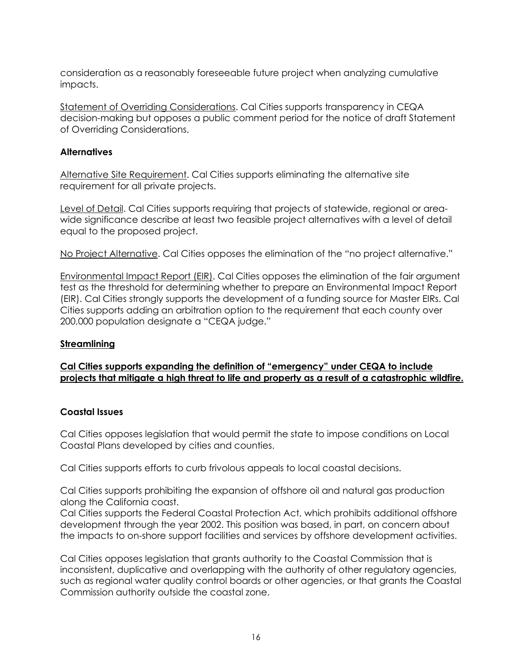consideration as a reasonably foreseeable future project when analyzing cumulative impacts.

Statement of Overriding Considerations. Cal Cities supports transparency in CEQA decision-making but opposes a public comment period for the notice of draft Statement of Overriding Considerations.

## **Alternatives**

Alternative Site Requirement. Cal Cities supports eliminating the alternative site requirement for all private projects.

Level of Detail. Cal Cities supports requiring that projects of statewide, regional or areawide significance describe at least two feasible project alternatives with a level of detail equal to the proposed project.

No Project Alternative. Cal Cities opposes the elimination of the "no project alternative."

Environmental Impact Report (EIR). Cal Cities opposes the elimination of the fair argument test as the threshold for determining whether to prepare an Environmental Impact Report (EIR). Cal Cities strongly supports the development of a funding source for Master EIRs. Cal Cities supports adding an arbitration option to the requirement that each county over 200,000 population designate a "CEQA judge."

## **Streamlining**

# **Cal Cities supports expanding the definition of "emergency" under CEQA to include projects that mitigate a high threat to life and property as a result of a catastrophic wildfire.**

## **Coastal Issues**

Cal Cities opposes legislation that would permit the state to impose conditions on Local Coastal Plans developed by cities and counties.

Cal Cities supports efforts to curb frivolous appeals to local coastal decisions.

Cal Cities supports prohibiting the expansion of offshore oil and natural gas production along the California coast.

Cal Cities supports the Federal Coastal Protection Act, which prohibits additional offshore development through the year 2002. This position was based, in part, on concern about the impacts to on-shore support facilities and services by offshore development activities.

Cal Cities opposes legislation that grants authority to the Coastal Commission that is inconsistent, duplicative and overlapping with the authority of other regulatory agencies, such as regional water quality control boards or other agencies, or that grants the Coastal Commission authority outside the coastal zone.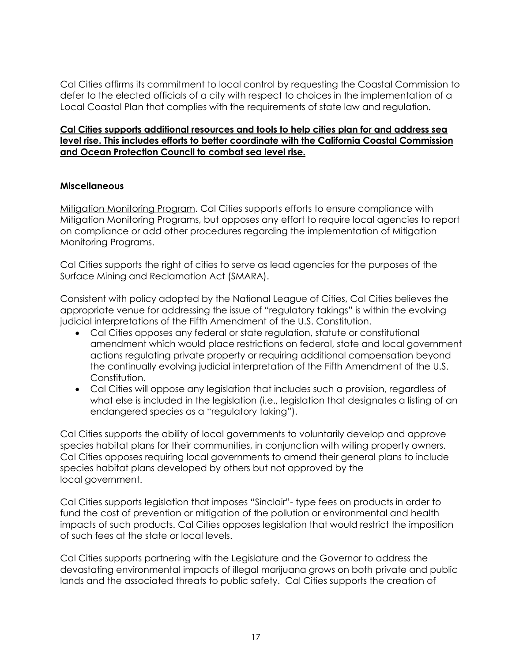Cal Cities affirms its commitment to local control by requesting the Coastal Commission to defer to the elected officials of a city with respect to choices in the implementation of a Local Coastal Plan that complies with the requirements of state law and regulation.

#### **Cal Cities supports additional resources and tools to help cities plan for and address sea level rise. This includes efforts to better coordinate with the California Coastal Commission and Ocean Protection Council to combat sea level rise.**

## **Miscellaneous**

Mitigation Monitoring Program. Cal Cities supports efforts to ensure compliance with Mitigation Monitoring Programs, but opposes any effort to require local agencies to report on compliance or add other procedures regarding the implementation of Mitigation Monitoring Programs.

Cal Cities supports the right of cities to serve as lead agencies for the purposes of the Surface Mining and Reclamation Act (SMARA).

Consistent with policy adopted by the National League of Cities, Cal Cities believes the appropriate venue for addressing the issue of "regulatory takings" is within the evolving judicial interpretations of the Fifth Amendment of the U.S. Constitution.

- Cal Cities opposes any federal or state regulation, statute or constitutional amendment which would place restrictions on federal, state and local government actions regulating private property or requiring additional compensation beyond the continually evolving judicial interpretation of the Fifth Amendment of the U.S. Constitution.
- Cal Cities will oppose any legislation that includes such a provision, regardless of what else is included in the legislation (i.e., legislation that designates a listing of an endangered species as a "regulatory taking").

Cal Cities supports the ability of local governments to voluntarily develop and approve species habitat plans for their communities, in conjunction with willing property owners. Cal Cities opposes requiring local governments to amend their general plans to include species habitat plans developed by others but not approved by the local government.

Cal Cities supports legislation that imposes "Sinclair"- type fees on products in order to fund the cost of prevention or mitigation of the pollution or environmental and health impacts of such products. Cal Cities opposes legislation that would restrict the imposition of such fees at the state or local levels.

Cal Cities supports partnering with the Legislature and the Governor to address the devastating environmental impacts of illegal marijuana grows on both private and public lands and the associated threats to public safety. Cal Cities supports the creation of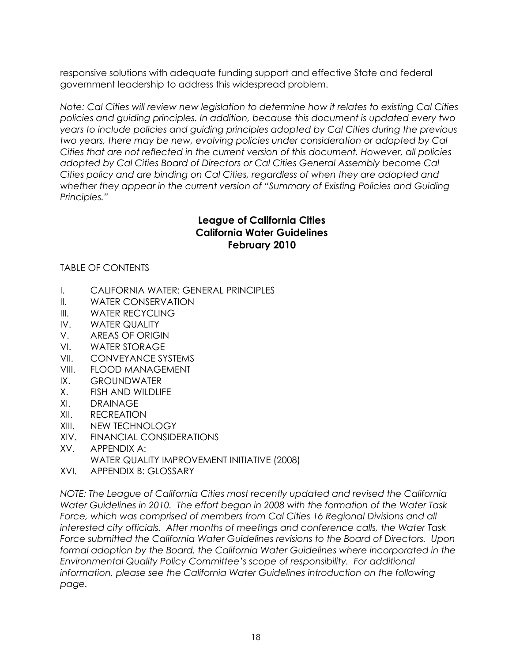responsive solutions with adequate funding support and effective State and federal government leadership to address this widespread problem.

*Note: Cal Cities will review new legislation to determine how it relates to existing Cal Cities policies and guiding principles. In addition, because this document is updated every two years to include policies and guiding principles adopted by Cal Cities during the previous two years, there may be new, evolving policies under consideration or adopted by Cal Cities that are not reflected in the current version of this document. However, all policies adopted by Cal Cities Board of Directors or Cal Cities General Assembly become Cal Cities policy and are binding on Cal Cities, regardless of when they are adopted and whether they appear in the current version of "Summary of Existing Policies and Guiding Principles."*

# **League of California Cities California Water Guidelines February 2010**

# TABLE OF CONTENTS

- I. CALIFORNIA WATER: GENERAL PRINCIPLES
- II. WATER CONSERVATION
- III. WATER RECYCLING
- IV. WATER QUALITY
- V. AREAS OF ORIGIN
- VI. WATER STORAGE
- VII. CONVEYANCE SYSTEMS
- VIII. FLOOD MANAGEMENT
- IX. GROUNDWATER
- X. FISH AND WILDLIFE
- XI. DRAINAGE
- XII. RECREATION
- XIII. NEW TECHNOLOGY
- XIV. FINANCIAL CONSIDERATIONS
- XV. APPENDIX A: WATER QUALITY IMPROVEMENT INITIATIVE (2008)
- XVI. APPENDIX B: GLOSSARY

*NOTE: The League of California Cities most recently updated and revised the California Water Guidelines in 2010. The effort began in 2008 with the formation of the Water Task*  Force, which was comprised of members from Cal Cities 16 Regional Divisions and all *interested city officials. After months of meetings and conference calls, the Water Task Force submitted the California Water Guidelines revisions to the Board of Directors. Upon*  formal adoption by the Board, the California Water Guidelines where incorporated in the *Environmental Quality Policy Committee's scope of responsibility. For additional information, please see the California Water Guidelines introduction on the following page.*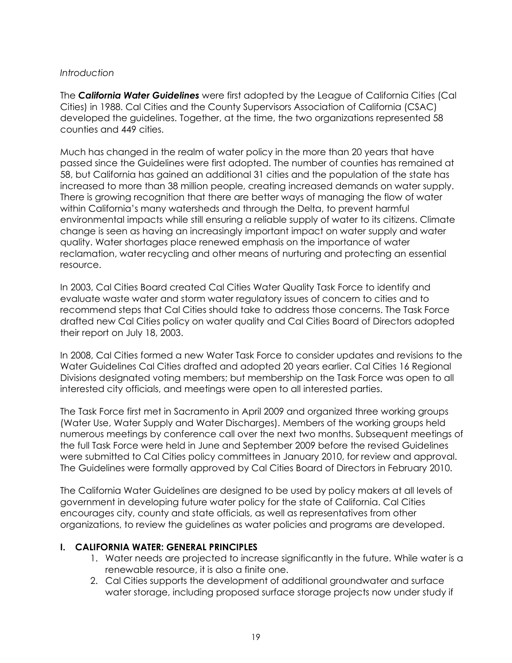#### *Introduction*

The *California Water Guidelines* were first adopted by the League of California Cities (Cal Cities) in 1988. Cal Cities and the County Supervisors Association of California (CSAC) developed the guidelines. Together, at the time, the two organizations represented 58 counties and 449 cities.

Much has changed in the realm of water policy in the more than 20 years that have passed since the Guidelines were first adopted. The number of counties has remained at 58, but California has gained an additional 31 cities and the population of the state has increased to more than 38 million people, creating increased demands on water supply. There is growing recognition that there are better ways of managing the flow of water within California's many watersheds and through the Delta, to prevent harmful environmental impacts while still ensuring a reliable supply of water to its citizens. Climate change is seen as having an increasingly important impact on water supply and water quality. Water shortages place renewed emphasis on the importance of water reclamation, water recycling and other means of nurturing and protecting an essential resource.

In 2003, Cal Cities Board created Cal Cities Water Quality Task Force to identify and evaluate waste water and storm water regulatory issues of concern to cities and to recommend steps that Cal Cities should take to address those concerns. The Task Force drafted new Cal Cities policy on water quality and Cal Cities Board of Directors adopted their report on July 18, 2003.

In 2008, Cal Cities formed a new Water Task Force to consider updates and revisions to the Water Guidelines Cal Cities drafted and adopted 20 years earlier. Cal Cities 16 Regional Divisions designated voting members; but membership on the Task Force was open to all interested city officials, and meetings were open to all interested parties.

The Task Force first met in Sacramento in April 2009 and organized three working groups (Water Use, Water Supply and Water Discharges). Members of the working groups held numerous meetings by conference call over the next two months. Subsequent meetings of the full Task Force were held in June and September 2009 before the revised Guidelines were submitted to Cal Cities policy committees in January 2010, for review and approval. The Guidelines were formally approved by Cal Cities Board of Directors in February 2010.

The California Water Guidelines are designed to be used by policy makers at all levels of government in developing future water policy for the state of California. Cal Cities encourages city, county and state officials, as well as representatives from other organizations, to review the guidelines as water policies and programs are developed.

## **I. CALIFORNIA WATER: GENERAL PRINCIPLES**

- 1. Water needs are projected to increase significantly in the future. While water is a renewable resource, it is also a finite one.
- 2. Cal Cities supports the development of additional groundwater and surface water storage, including proposed surface storage projects now under study if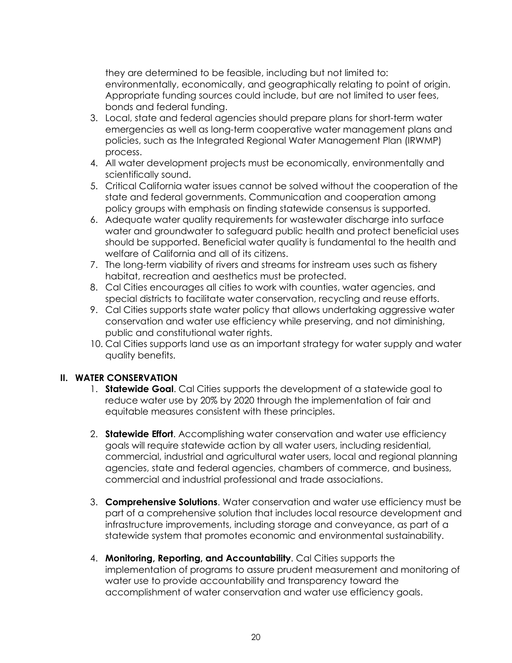they are determined to be feasible, including but not limited to: environmentally, economically, and geographically relating to point of origin. Appropriate funding sources could include, but are not limited to user fees, bonds and federal funding.

- 3. Local, state and federal agencies should prepare plans for short-term water emergencies as well as long-term cooperative water management plans and policies, such as the Integrated Regional Water Management Plan (IRWMP) process.
- 4. All water development projects must be economically, environmentally and scientifically sound.
- 5. Critical California water issues cannot be solved without the cooperation of the state and federal governments. Communication and cooperation among policy groups with emphasis on finding statewide consensus is supported.
- 6. Adequate water quality requirements for wastewater discharge into surface water and groundwater to safeguard public health and protect beneficial uses should be supported. Beneficial water quality is fundamental to the health and welfare of California and all of its citizens.
- 7. The long-term viability of rivers and streams for instream uses such as fishery habitat, recreation and aesthetics must be protected.
- 8. Cal Cities encourages all cities to work with counties, water agencies, and special districts to facilitate water conservation, recycling and reuse efforts.
- 9. Cal Cities supports state water policy that allows undertaking aggressive water conservation and water use efficiency while preserving, and not diminishing, public and constitutional water rights.
- 10. Cal Cities supports land use as an important strategy for water supply and water quality benefits.

## **II. WATER CONSERVATION**

- 1. **Statewide Goal**. Cal Cities supports the development of a statewide goal to reduce water use by 20% by 2020 through the implementation of fair and equitable measures consistent with these principles.
- 2. **Statewide Effort**. Accomplishing water conservation and water use efficiency goals will require statewide action by all water users, including residential, commercial, industrial and agricultural water users, local and regional planning agencies, state and federal agencies, chambers of commerce, and business, commercial and industrial professional and trade associations.
- 3. **Comprehensive Solutions**. Water conservation and water use efficiency must be part of a comprehensive solution that includes local resource development and infrastructure improvements, including storage and conveyance, as part of a statewide system that promotes economic and environmental sustainability.
- 4. **Monitoring, Reporting, and Accountability**. Cal Cities supports the implementation of programs to assure prudent measurement and monitoring of water use to provide accountability and transparency toward the accomplishment of water conservation and water use efficiency goals.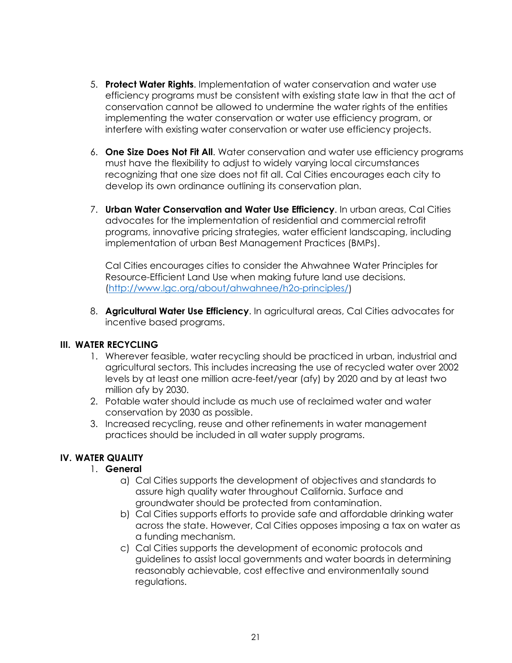- 5. **Protect Water Rights**. Implementation of water conservation and water use efficiency programs must be consistent with existing state law in that the act of conservation cannot be allowed to undermine the water rights of the entities implementing the water conservation or water use efficiency program, or interfere with existing water conservation or water use efficiency projects.
- 6. **One Size Does Not Fit All**. Water conservation and water use efficiency programs must have the flexibility to adjust to widely varying local circumstances recognizing that one size does not fit all. Cal Cities encourages each city to develop its own ordinance outlining its conservation plan.
- 7. **Urban Water Conservation and Water Use Efficiency**. In urban areas, Cal Cities advocates for the implementation of residential and commercial retrofit programs, innovative pricing strategies, water efficient landscaping, including implementation of urban Best Management Practices (BMPs).

Cal Cities encourages cities to consider the Ahwahnee Water Principles for Resource-Efficient Land Use when making future land use decisions. [\(http://www.lgc.org/about/ahwahnee/h2o-principles/\)](http://www.lgc.org/about/ahwahnee/h2o-principles/)

8. **Agricultural Water Use Efficiency**. In agricultural areas, Cal Cities advocates for incentive based programs.

## **III. WATER RECYCLING**

- 1. Wherever feasible, water recycling should be practiced in urban, industrial and agricultural sectors. This includes increasing the use of recycled water over 2002 levels by at least one million acre-feet/year (afy) by 2020 and by at least two million afy by 2030.
- 2. Potable water should include as much use of reclaimed water and water conservation by 2030 as possible.
- 3. Increased recycling, reuse and other refinements in water management practices should be included in all water supply programs.

# **IV. WATER QUALITY**

# 1. **General**

- a) Cal Cities supports the development of objectives and standards to assure high quality water throughout California. Surface and groundwater should be protected from contamination.
- b) Cal Cities supports efforts to provide safe and affordable drinking water across the state. However, Cal Cities opposes imposing a tax on water as a funding mechanism.
- c) Cal Cities supports the development of economic protocols and guidelines to assist local governments and water boards in determining reasonably achievable, cost effective and environmentally sound regulations.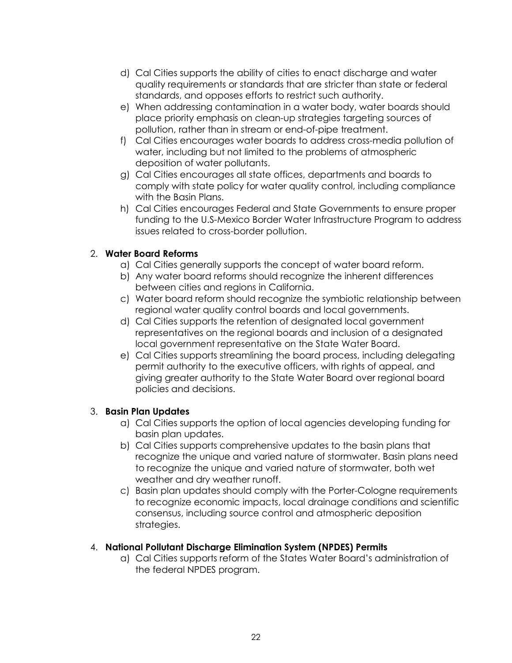- d) Cal Cities supports the ability of cities to enact discharge and water quality requirements or standards that are stricter than state or federal standards, and opposes efforts to restrict such authority.
- e) When addressing contamination in a water body, water boards should place priority emphasis on clean-up strategies targeting sources of pollution, rather than in stream or end-of-pipe treatment.
- f) Cal Cities encourages water boards to address cross-media pollution of water, including but not limited to the problems of atmospheric deposition of water pollutants.
- g) Cal Cities encourages all state offices, departments and boards to comply with state policy for water quality control, including compliance with the Basin Plans.
- h) Cal Cities encourages Federal and State Governments to ensure proper funding to the U.S-Mexico Border Water Infrastructure Program to address issues related to cross-border pollution.

# 2. **Water Board Reforms**

- a) Cal Cities generally supports the concept of water board reform.
- b) Any water board reforms should recognize the inherent differences between cities and regions in California.
- c) Water board reform should recognize the symbiotic relationship between regional water quality control boards and local governments.
- d) Cal Cities supports the retention of designated local government representatives on the regional boards and inclusion of a designated local government representative on the State Water Board.
- e) Cal Cities supports streamlining the board process, including delegating permit authority to the executive officers, with rights of appeal, and giving greater authority to the State Water Board over regional board policies and decisions.

## 3. **Basin Plan Updates**

- a) Cal Cities supports the option of local agencies developing funding for basin plan updates.
- b) Cal Cities supports comprehensive updates to the basin plans that recognize the unique and varied nature of stormwater. Basin plans need to recognize the unique and varied nature of stormwater, both wet weather and dry weather runoff.
- c) Basin plan updates should comply with the Porter-Cologne requirements to recognize economic impacts, local drainage conditions and scientific consensus, including source control and atmospheric deposition strategies.

## 4. **National Pollutant Discharge Elimination System (NPDES) Permits**

a) Cal Cities supports reform of the States Water Board's administration of the federal NPDES program.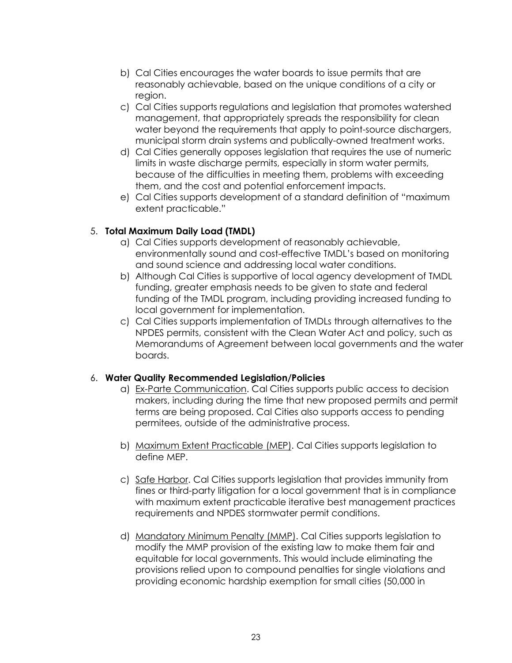- b) Cal Cities encourages the water boards to issue permits that are reasonably achievable, based on the unique conditions of a city or region.
- c) Cal Cities supports regulations and legislation that promotes watershed management, that appropriately spreads the responsibility for clean water beyond the requirements that apply to point-source dischargers, municipal storm drain systems and publically-owned treatment works.
- d) Cal Cities generally opposes legislation that requires the use of numeric limits in waste discharge permits, especially in storm water permits, because of the difficulties in meeting them, problems with exceeding them, and the cost and potential enforcement impacts.
- e) Cal Cities supports development of a standard definition of "maximum extent practicable."

# 5. **Total Maximum Daily Load (TMDL)**

- a) Cal Cities supports development of reasonably achievable, environmentally sound and cost-effective TMDL's based on monitoring and sound science and addressing local water conditions.
- b) Although Cal Cities is supportive of local agency development of TMDL funding, greater emphasis needs to be given to state and federal funding of the TMDL program, including providing increased funding to local government for implementation.
- c) Cal Cities supports implementation of TMDLs through alternatives to the NPDES permits, consistent with the Clean Water Act and policy, such as Memorandums of Agreement between local governments and the water boards.

## 6. **Water Quality Recommended Legislation/Policies**

- a) Ex-Parte Communication. Cal Cities supports public access to decision makers, including during the time that new proposed permits and permit terms are being proposed. Cal Cities also supports access to pending permitees, outside of the administrative process.
- b) Maximum Extent Practicable (MEP). Cal Cities supports legislation to define MEP.
- c) Safe Harbor. Cal Cities supports legislation that provides immunity from fines or third-party litigation for a local government that is in compliance with maximum extent practicable iterative best management practices requirements and NPDES stormwater permit conditions.
- d) Mandatory Minimum Penalty (MMP). Cal Cities supports legislation to modify the MMP provision of the existing law to make them fair and equitable for local governments. This would include eliminating the provisions relied upon to compound penalties for single violations and providing economic hardship exemption for small cities (50,000 in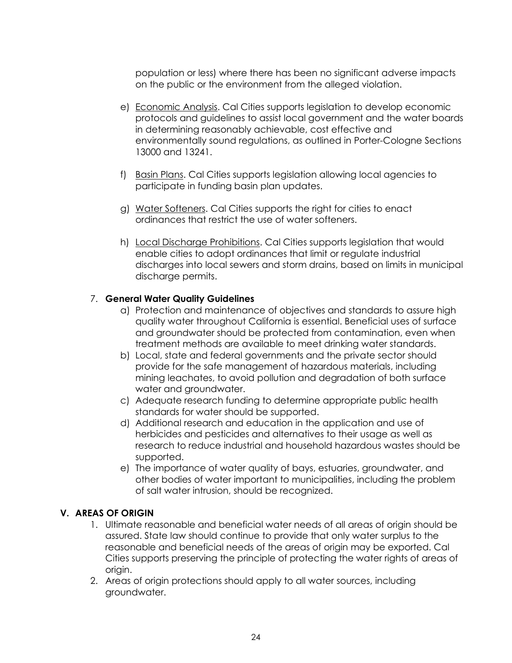population or less) where there has been no significant adverse impacts on the public or the environment from the alleged violation.

- e) Economic Analysis. Cal Cities supports legislation to develop economic protocols and guidelines to assist local government and the water boards in determining reasonably achievable, cost effective and environmentally sound regulations, as outlined in Porter-Cologne Sections 13000 and 13241.
- f) Basin Plans. Cal Cities supports legislation allowing local agencies to participate in funding basin plan updates.
- g) Water Softeners. Cal Cities supports the right for cities to enact ordinances that restrict the use of water softeners.
- h) Local Discharge Prohibitions. Cal Cities supports legislation that would enable cities to adopt ordinances that limit or regulate industrial discharges into local sewers and storm drains, based on limits in municipal discharge permits.

## 7. **General Water Quality Guidelines**

- a) Protection and maintenance of objectives and standards to assure high quality water throughout California is essential. Beneficial uses of surface and groundwater should be protected from contamination, even when treatment methods are available to meet drinking water standards.
- b) Local, state and federal governments and the private sector should provide for the safe management of hazardous materials, including mining leachates, to avoid pollution and degradation of both surface water and groundwater.
- c) Adequate research funding to determine appropriate public health standards for water should be supported.
- d) Additional research and education in the application and use of herbicides and pesticides and alternatives to their usage as well as research to reduce industrial and household hazardous wastes should be supported.
- e) The importance of water quality of bays, estuaries, groundwater, and other bodies of water important to municipalities, including the problem of salt water intrusion, should be recognized.

## **V. AREAS OF ORIGIN**

- 1. Ultimate reasonable and beneficial water needs of all areas of origin should be assured. State law should continue to provide that only water surplus to the reasonable and beneficial needs of the areas of origin may be exported. Cal Cities supports preserving the principle of protecting the water rights of areas of origin.
- 2. Areas of origin protections should apply to all water sources, including groundwater.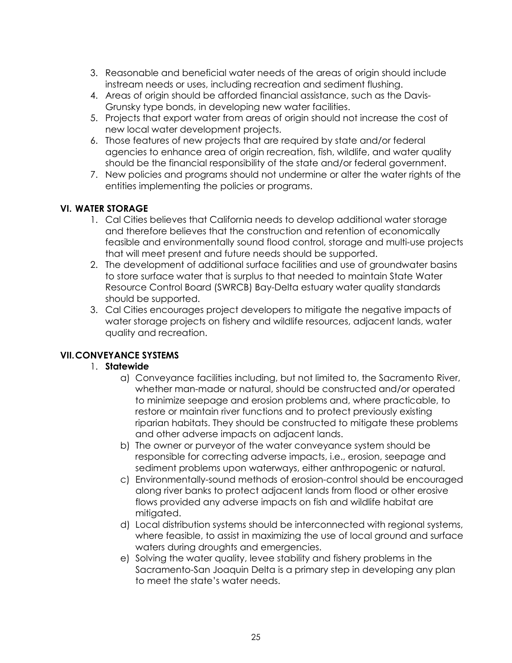- 3. Reasonable and beneficial water needs of the areas of origin should include instream needs or uses, including recreation and sediment flushing.
- 4. Areas of origin should be afforded financial assistance, such as the Davis-Grunsky type bonds, in developing new water facilities.
- 5. Projects that export water from areas of origin should not increase the cost of new local water development projects.
- 6. Those features of new projects that are required by state and/or federal agencies to enhance area of origin recreation, fish, wildlife, and water quality should be the financial responsibility of the state and/or federal government.
- 7. New policies and programs should not undermine or alter the water rights of the entities implementing the policies or programs.

# **VI. WATER STORAGE**

- 1. Cal Cities believes that California needs to develop additional water storage and therefore believes that the construction and retention of economically feasible and environmentally sound flood control, storage and multi-use projects that will meet present and future needs should be supported.
- 2. The development of additional surface facilities and use of groundwater basins to store surface water that is surplus to that needed to maintain State Water Resource Control Board (SWRCB) Bay-Delta estuary water quality standards should be supported.
- 3. Cal Cities encourages project developers to mitigate the negative impacts of water storage projects on fishery and wildlife resources, adjacent lands, water quality and recreation.

# **VII.CONVEYANCE SYSTEMS**

## 1. **Statewide**

- a) Conveyance facilities including, but not limited to, the Sacramento River, whether man-made or natural, should be constructed and/or operated to minimize seepage and erosion problems and, where practicable, to restore or maintain river functions and to protect previously existing riparian habitats. They should be constructed to mitigate these problems and other adverse impacts on adjacent lands.
- b) The owner or purveyor of the water conveyance system should be responsible for correcting adverse impacts, i.e., erosion, seepage and sediment problems upon waterways, either anthropogenic or natural.
- c) Environmentally-sound methods of erosion-control should be encouraged along river banks to protect adjacent lands from flood or other erosive flows provided any adverse impacts on fish and wildlife habitat are mitigated.
- d) Local distribution systems should be interconnected with regional systems, where feasible, to assist in maximizing the use of local ground and surface waters during droughts and emergencies.
- e) Solving the water quality, levee stability and fishery problems in the Sacramento-San Joaquin Delta is a primary step in developing any plan to meet the state's water needs.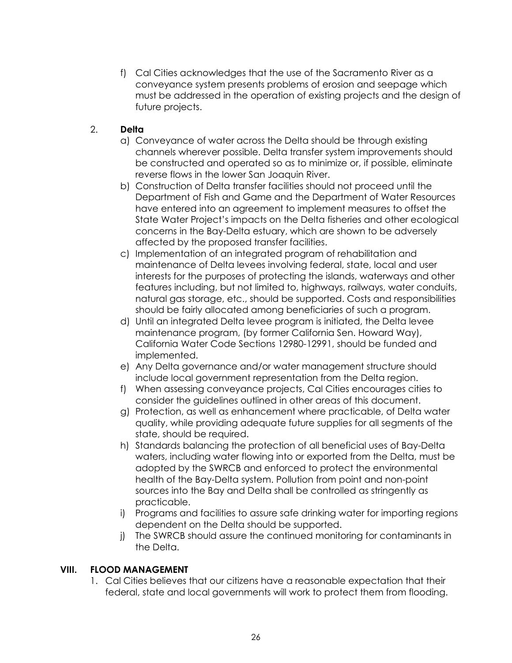f) Cal Cities acknowledges that the use of the Sacramento River as a conveyance system presents problems of erosion and seepage which must be addressed in the operation of existing projects and the design of future projects.

# 2. **Delta**

- a) Conveyance of water across the Delta should be through existing channels wherever possible. Delta transfer system improvements should be constructed and operated so as to minimize or, if possible, eliminate reverse flows in the lower San Joaquin River.
- b) Construction of Delta transfer facilities should not proceed until the Department of Fish and Game and the Department of Water Resources have entered into an agreement to implement measures to offset the State Water Project's impacts on the Delta fisheries and other ecological concerns in the Bay-Delta estuary, which are shown to be adversely affected by the proposed transfer facilities.
- c) Implementation of an integrated program of rehabilitation and maintenance of Delta levees involving federal, state, local and user interests for the purposes of protecting the islands, waterways and other features including, but not limited to, highways, railways, water conduits, natural gas storage, etc., should be supported. Costs and responsibilities should be fairly allocated among beneficiaries of such a program.
- d) Until an integrated Delta levee program is initiated, the Delta levee maintenance program, (by former California Sen. Howard Way), California Water Code Sections 12980-12991, should be funded and implemented.
- e) Any Delta governance and/or water management structure should include local government representation from the Delta region.
- f) When assessing conveyance projects, Cal Cities encourages cities to consider the guidelines outlined in other areas of this document.
- g) Protection, as well as enhancement where practicable, of Delta water quality, while providing adequate future supplies for all segments of the state, should be required.
- h) Standards balancing the protection of all beneficial uses of Bay-Delta waters, including water flowing into or exported from the Delta, must be adopted by the SWRCB and enforced to protect the environmental health of the Bay-Delta system. Pollution from point and non-point sources into the Bay and Delta shall be controlled as stringently as practicable.
- i) Programs and facilities to assure safe drinking water for importing regions dependent on the Delta should be supported.
- j) The SWRCB should assure the continued monitoring for contaminants in the Delta.

## **VIII. FLOOD MANAGEMENT**

1. Cal Cities believes that our citizens have a reasonable expectation that their federal, state and local governments will work to protect them from flooding.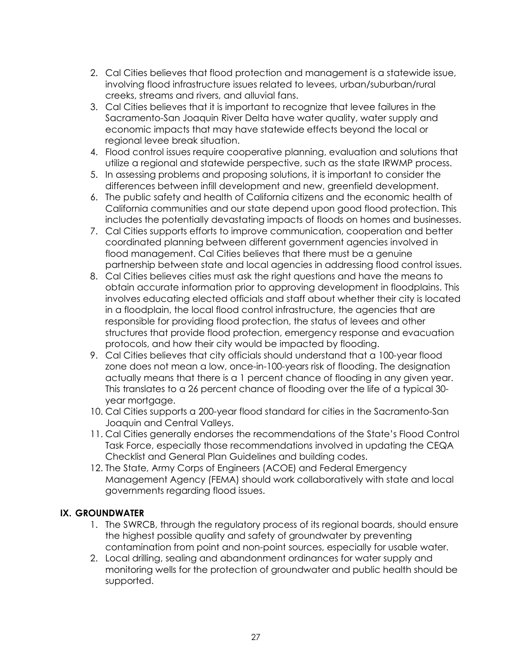- 2. Cal Cities believes that flood protection and management is a statewide issue, involving flood infrastructure issues related to levees, urban/suburban/rural creeks, streams and rivers, and alluvial fans.
- 3. Cal Cities believes that it is important to recognize that levee failures in the Sacramento-San Joaquin River Delta have water quality, water supply and economic impacts that may have statewide effects beyond the local or regional levee break situation.
- 4. Flood control issues require cooperative planning, evaluation and solutions that utilize a regional and statewide perspective, such as the state IRWMP process.
- 5. In assessing problems and proposing solutions, it is important to consider the differences between infill development and new, greenfield development.
- 6. The public safety and health of California citizens and the economic health of California communities and our state depend upon good flood protection. This includes the potentially devastating impacts of floods on homes and businesses.
- 7. Cal Cities supports efforts to improve communication, cooperation and better coordinated planning between different government agencies involved in flood management. Cal Cities believes that there must be a genuine partnership between state and local agencies in addressing flood control issues.
- 8. Cal Cities believes cities must ask the right questions and have the means to obtain accurate information prior to approving development in floodplains. This involves educating elected officials and staff about whether their city is located in a floodplain, the local flood control infrastructure, the agencies that are responsible for providing flood protection, the status of levees and other structures that provide flood protection, emergency response and evacuation protocols, and how their city would be impacted by flooding.
- 9. Cal Cities believes that city officials should understand that a 100-year flood zone does not mean a low, once-in-100-years risk of flooding. The designation actually means that there is a 1 percent chance of flooding in any given year. This translates to a 26 percent chance of flooding over the life of a typical 30 year mortgage.
- 10. Cal Cities supports a 200-year flood standard for cities in the Sacramento-San Joaquin and Central Valleys.
- 11. Cal Cities generally endorses the recommendations of the State's Flood Control Task Force, especially those recommendations involved in updating the CEQA Checklist and General Plan Guidelines and building codes.
- 12. The State, Army Corps of Engineers (ACOE) and Federal Emergency Management Agency (FEMA) should work collaboratively with state and local governments regarding flood issues.

## **IX. GROUNDWATER**

- 1. The SWRCB, through the regulatory process of its regional boards, should ensure the highest possible quality and safety of groundwater by preventing contamination from point and non-point sources, especially for usable water.
- 2. Local drilling, sealing and abandonment ordinances for water supply and monitoring wells for the protection of groundwater and public health should be supported.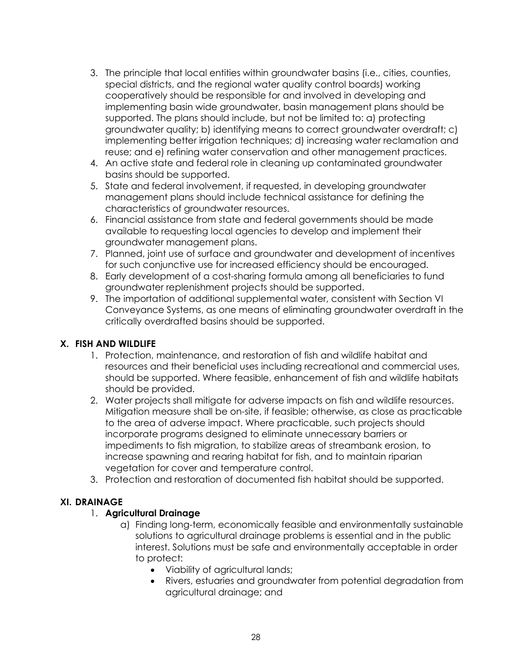- 3. The principle that local entities within groundwater basins (i.e., cities, counties, special districts, and the regional water quality control boards) working cooperatively should be responsible for and involved in developing and implementing basin wide groundwater, basin management plans should be supported. The plans should include, but not be limited to: a) protecting groundwater quality; b) identifying means to correct groundwater overdraft; c) implementing better irrigation techniques; d) increasing water reclamation and reuse; and e) refining water conservation and other management practices.
- 4. An active state and federal role in cleaning up contaminated groundwater basins should be supported.
- 5. State and federal involvement, if requested, in developing groundwater management plans should include technical assistance for defining the characteristics of groundwater resources.
- 6. Financial assistance from state and federal governments should be made available to requesting local agencies to develop and implement their groundwater management plans.
- 7. Planned, joint use of surface and groundwater and development of incentives for such conjunctive use for increased efficiency should be encouraged.
- 8. Early development of a cost-sharing formula among all beneficiaries to fund groundwater replenishment projects should be supported.
- 9. The importation of additional supplemental water, consistent with Section VI Conveyance Systems, as one means of eliminating groundwater overdraft in the critically overdrafted basins should be supported.

# **X. FISH AND WILDLIFE**

- 1. Protection, maintenance, and restoration of fish and wildlife habitat and resources and their beneficial uses including recreational and commercial uses, should be supported. Where feasible, enhancement of fish and wildlife habitats should be provided.
- 2. Water projects shall mitigate for adverse impacts on fish and wildlife resources. Mitigation measure shall be on-site, if feasible; otherwise, as close as practicable to the area of adverse impact. Where practicable, such projects should incorporate programs designed to eliminate unnecessary barriers or impediments to fish migration, to stabilize areas of streambank erosion, to increase spawning and rearing habitat for fish, and to maintain riparian vegetation for cover and temperature control.
- 3. Protection and restoration of documented fish habitat should be supported.

## **XI. DRAINAGE**

## 1. **Agricultural Drainage**

- a) Finding long-term, economically feasible and environmentally sustainable solutions to agricultural drainage problems is essential and in the public interest. Solutions must be safe and environmentally acceptable in order to protect:
	- Viability of agricultural lands;
	- Rivers, estuaries and groundwater from potential degradation from agricultural drainage; and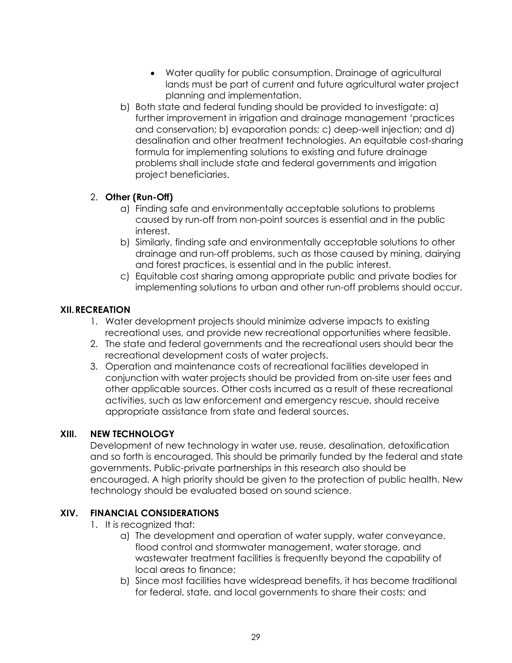- Water quality for public consumption. Drainage of agricultural lands must be part of current and future agricultural water project planning and implementation.
- b) Both state and federal funding should be provided to investigate: a) further improvement in irrigation and drainage management 'practices and conservation; b) evaporation ponds; c) deep-well injection; and d) desalination and other treatment technologies. An equitable cost-sharing formula for implementing solutions to existing and future drainage problems shall include state and federal governments and irrigation project beneficiaries.

# 2. **Other (Run-Off)**

- a) Finding safe and environmentally acceptable solutions to problems caused by run-off from non-point sources is essential and in the public interest.
- b) Similarly, finding safe and environmentally acceptable solutions to other drainage and run-off problems, such as those caused by mining, dairying and forest practices, is essential and in the public interest.
- c) Equitable cost sharing among appropriate public and private bodies for implementing solutions to urban and other run-off problems should occur.

## **XII.RECREATION**

- 1. Water development projects should minimize adverse impacts to existing recreational uses, and provide new recreational opportunities where feasible.
- 2. The state and federal governments and the recreational users should bear the recreational development costs of water projects.
- 3. Operation and maintenance costs of recreational facilities developed in conjunction with water projects should be provided from on-site user fees and other applicable sources. Other costs incurred as a result of these recreational activities, such as law enforcement and emergency rescue, should receive appropriate assistance from state and federal sources.

## **XIII. NEW TECHNOLOGY**

Development of new technology in water use, reuse, desalination, detoxification and so forth is encouraged. This should be primarily funded by the federal and state governments. Public-private partnerships in this research also should be encouraged. A high priority should be given to the protection of public health. New technology should be evaluated based on sound science.

## **XIV. FINANCIAL CONSIDERATIONS**

- 1. It is recognized that:
	- a) The development and operation of water supply, water conveyance, flood control and stormwater management, water storage, and wastewater treatment facilities is frequently beyond the capability of local areas to finance;
	- b) Since most facilities have widespread benefits, it has become traditional for federal, state, and local governments to share their costs; and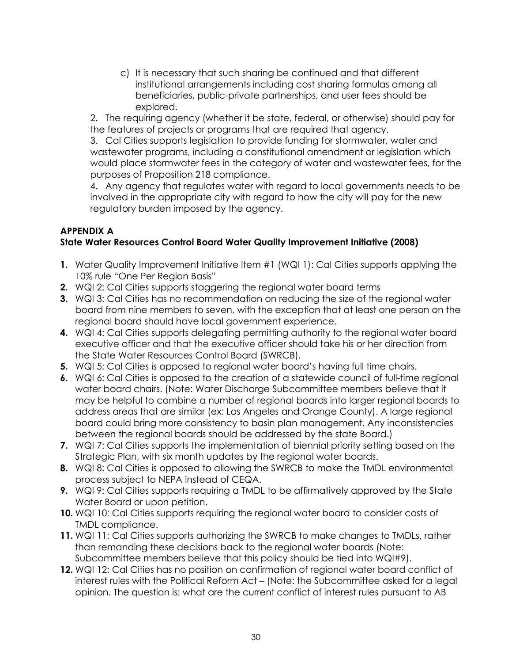c) It is necessary that such sharing be continued and that different institutional arrangements including cost sharing formulas among all beneficiaries, public-private partnerships, and user fees should be explored.

2. The requiring agency (whether it be state, federal, or otherwise) should pay for the features of projects or programs that are required that agency.

3. Cal Cities supports legislation to provide funding for stormwater, water and wastewater programs, including a constitutional amendment or legislation which would place stormwater fees in the category of water and wastewater fees, for the purposes of Proposition 218 compliance.

4. Any agency that regulates water with regard to local governments needs to be involved in the appropriate city with regard to how the city will pay for the new regulatory burden imposed by the agency.

#### **APPENDIX A State Water Resources Control Board Water Quality Improvement Initiative (2008)**

- **1.** Water Quality Improvement Initiative Item #1 (WQI 1): Cal Cities supports applying the 10% rule "One Per Region Basis"
- **2.** WQI 2: Cal Cities supports staggering the regional water board terms
- **3.** WQI 3: Cal Cities has no recommendation on reducing the size of the regional water board from nine members to seven, with the exception that at least one person on the regional board should have local government experience.
- **4.** WQI 4: Cal Cities supports delegating permitting authority to the regional water board executive officer and that the executive officer should take his or her direction from the State Water Resources Control Board (SWRCB).
- **5.** WQI 5: Cal Cities is opposed to regional water board's having full time chairs.
- **6.** WQI 6: Cal Cities is opposed to the creation of a statewide council of full-time regional water board chairs. (Note: Water Discharge Subcommittee members believe that it may be helpful to combine a number of regional boards into larger regional boards to address areas that are similar (ex: Los Angeles and Orange County). A large regional board could bring more consistency to basin plan management. Any inconsistencies between the regional boards should be addressed by the state Board.)
- **7.** WQI 7: Cal Cities supports the implementation of biennial priority setting based on the Strategic Plan, with six month updates by the regional water boards.
- **8.** WQI 8: Cal Cities is opposed to allowing the SWRCB to make the TMDL environmental process subject to NEPA instead of CEQA.
- **9.** WQI 9: Cal Cities supports requiring a TMDL to be affirmatively approved by the State Water Board or upon petition.
- **10.** WQI 10: Cal Cities supports requiring the regional water board to consider costs of TMDL compliance.
- **11.** WQI 11: Cal Cities supports authorizing the SWRCB to make changes to TMDLs, rather than remanding these decisions back to the regional water boards (Note: Subcommittee members believe that this policy should be tied into WQI#9).
- **12.** WQI 12: Cal Cities has no position on confirmation of regional water board conflict of interest rules with the Political Reform Act – (Note: the Subcommittee asked for a legal opinion. The question is: what are the current conflict of interest rules pursuant to AB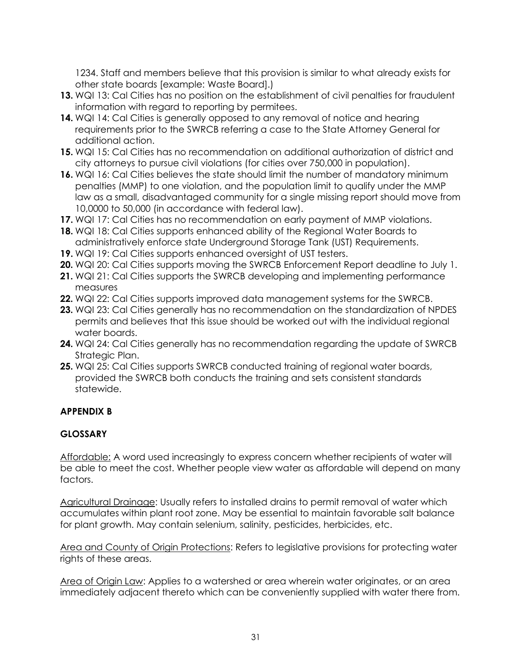1234. Staff and members believe that this provision is similar to what already exists for other state boards [example: Waste Board].)

- **13.** WQI 13: Cal Cities has no position on the establishment of civil penalties for fraudulent information with regard to reporting by permitees.
- **14.** WQI 14: Cal Cities is generally opposed to any removal of notice and hearing requirements prior to the SWRCB referring a case to the State Attorney General for additional action.
- **15.** WQI 15: Cal Cities has no recommendation on additional authorization of district and city attorneys to pursue civil violations (for cities over 750,000 in population).
- **16.** WQI 16: Cal Cities believes the state should limit the number of mandatory minimum penalties (MMP) to one violation, and the population limit to qualify under the MMP law as a small, disadvantaged community for a single missing report should move from 10,0000 to 50,000 (in accordance with federal law).
- **17.** WQI 17: Cal Cities has no recommendation on early payment of MMP violations.
- **18.** WQI 18: Cal Cities supports enhanced ability of the Regional Water Boards to administratively enforce state Underground Storage Tank (UST) Requirements.
- **19.** WQI 19: Cal Cities supports enhanced oversight of UST testers.
- **20.** WQI 20: Cal Cities supports moving the SWRCB Enforcement Report deadline to July 1.
- **21.** WQI 21: Cal Cities supports the SWRCB developing and implementing performance measures
- **22.** WQI 22: Cal Cities supports improved data management systems for the SWRCB.
- **23.** WQI 23: Cal Cities generally has no recommendation on the standardization of NPDES permits and believes that this issue should be worked out with the individual regional water boards.
- **24.** WQI 24: Cal Cities generally has no recommendation regarding the update of SWRCB Strategic Plan.
- **25.** WQI 25: Cal Cities supports SWRCB conducted training of regional water boards, provided the SWRCB both conducts the training and sets consistent standards statewide.

## **APPENDIX B**

## **GLOSSARY**

Affordable: A word used increasingly to express concern whether recipients of water will be able to meet the cost. Whether people view water as affordable will depend on many factors.

Agricultural Drainage: Usually refers to installed drains to permit removal of water which accumulates within plant root zone. May be essential to maintain favorable salt balance for plant growth. May contain selenium, salinity, pesticides, herbicides, etc.

Area and County of Origin Protections: Refers to legislative provisions for protecting water rights of these areas.

Area of Origin Law: Applies to a watershed or area wherein water originates, or an area immediately adjacent thereto which can be conveniently supplied with water there from.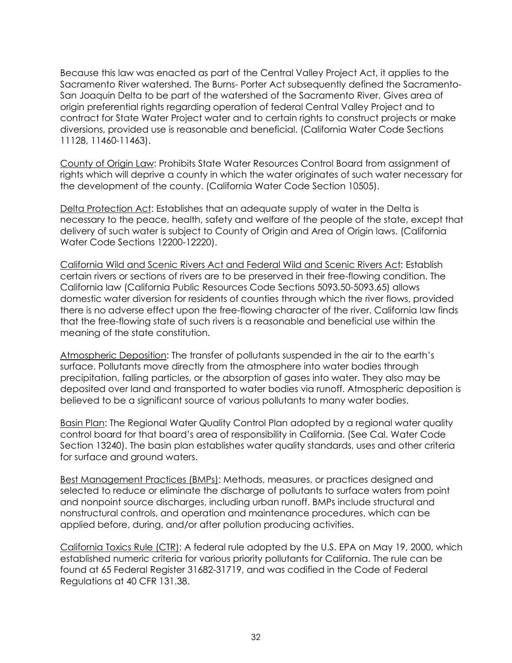Because this law was enacted as part of the Central Valley Project Act, it applies to the Sacramento River watershed. The Burns- Porter Act subsequently defined the Sacramento-San Joaquin Delta to be part of the watershed of the Sacramento River. Gives area of origin preferential rights regarding operation of federal Central Valley Project and to contract for State Water Project water and to certain rights to construct projects or make diversions, provided use is reasonable and beneficial. (California Water Code Sections 11128, 11460-11463).

County of Origin Law: Prohibits State Water Resources Control Board from assignment of rights which will deprive a county in which the water originates of such water necessary for the development of the county. (California Water Code Section 10505).

Delta Protection Act: Establishes that an adequate supply of water in the Delta is necessary to the peace, health, safety and welfare of the people of the state, except that delivery of such water is subject to County of Origin and Area of Origin laws. (California Water Code Sections 12200-12220).

California Wild and Scenic Rivers Act and Federal Wild and Scenic Rivers Act: Establish certain rivers or sections of rivers are to be preserved in their free-flowing condition. The California law (California Public Resources Code Sections 5093.50-5093.65) allows domestic water diversion for residents of counties through which the river flows, provided there is no adverse effect upon the free-flowing character of the river. California law finds that the free-flowing state of such rivers is a reasonable and beneficial use within the meaning of the state constitution.

Atmospheric Deposition: The transfer of pollutants suspended in the air to the earth's surface. Pollutants move directly from the atmosphere into water bodies through precipitation, falling particles, or the absorption of gases into water. They also may be deposited over land and transported to water bodies via runoff. Atmospheric deposition is believed to be a significant source of various pollutants to many water bodies.

Basin Plan: The Regional Water Quality Control Plan adopted by a regional water quality control board for that board's area of responsibility in California. (See Cal. Water Code Section 13240). The basin plan establishes water quality standards, uses and other criteria for surface and ground waters.

Best Management Practices (BMPs): Methods, measures, or practices designed and selected to reduce or eliminate the discharge of pollutants to surface waters from point and nonpoint source discharges, including urban runoff. BMPs include structural and nonstructural controls, and operation and maintenance procedures, which can be applied before, during, and/or after pollution producing activities.

California Toxics Rule (CTR): A federal rule adopted by the U.S. EPA on May 19, 2000, which established numeric criteria for various priority pollutants for California. The rule can be found at 65 Federal Register 31682-31719, and was codified in the Code of Federal Regulations at 40 CFR 131.38.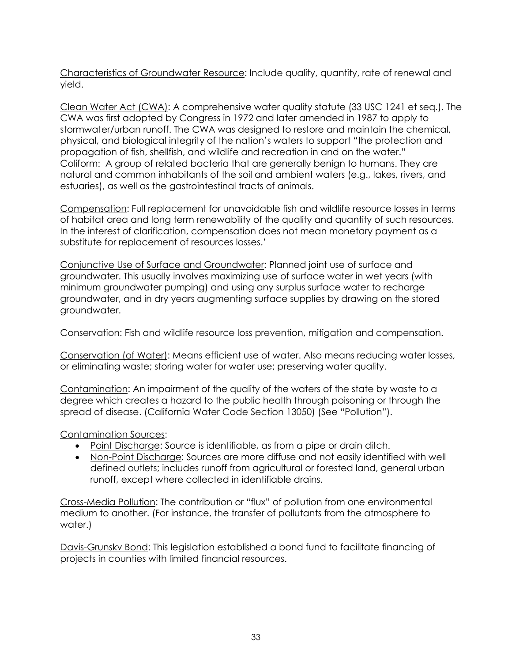Characteristics of Groundwater Resource: Include quality, quantity, rate of renewal and yield.

Clean Water Act (CWA): A comprehensive water quality statute (33 USC 1241 et seq.). The CWA was first adopted by Congress in 1972 and later amended in 1987 to apply to stormwater/urban runoff. The CWA was designed to restore and maintain the chemical, physical, and biological integrity of the nation's waters to support "the protection and propagation of fish, shellfish, and wildlife and recreation in and on the water." Coliform: A group of related bacteria that are generally benign to humans. They are natural and common inhabitants of the soil and ambient waters (e.g., lakes, rivers, and estuaries), as well as the gastrointestinal tracts of animals.

Compensation: Full replacement for unavoidable fish and wildlife resource losses in terms of habitat area and long term renewability of the quality and quantity of such resources. In the interest of clarification, compensation does not mean monetary payment as a substitute for replacement of resources losses.'

Conjunctive Use of Surface and Groundwater: Planned joint use of surface and groundwater. This usually involves maximizing use of surface water in wet years (with minimum groundwater pumping) and using any surplus surface water to recharge groundwater, and in dry years augmenting surface supplies by drawing on the stored groundwater.

Conservation: Fish and wildlife resource loss prevention, mitigation and compensation.

Conservation (of Water): Means efficient use of water. Also means reducing water losses, or eliminating waste; storing water for water use; preserving water quality.

Contamination: An impairment of the quality of the waters of the state by waste to a degree which creates a hazard to the public health through poisoning or through the spread of disease. (California Water Code Section 13050) (See "Pollution").

## Contamination Sources:

- Point Discharge: Source is identifiable, as from a pipe or drain ditch.
- Non-Point Discharge: Sources are more diffuse and not easily identified with well defined outlets; includes runoff from agricultural or forested land, general urban runoff, except where collected in identifiable drains.

Cross-Media Pollution: The contribution or "flux" of pollution from one environmental medium to another. (For instance, the transfer of pollutants from the atmosphere to water.)

Davis-Grunskv Bond: This legislation established a bond fund to facilitate financing of projects in counties with limited financial resources.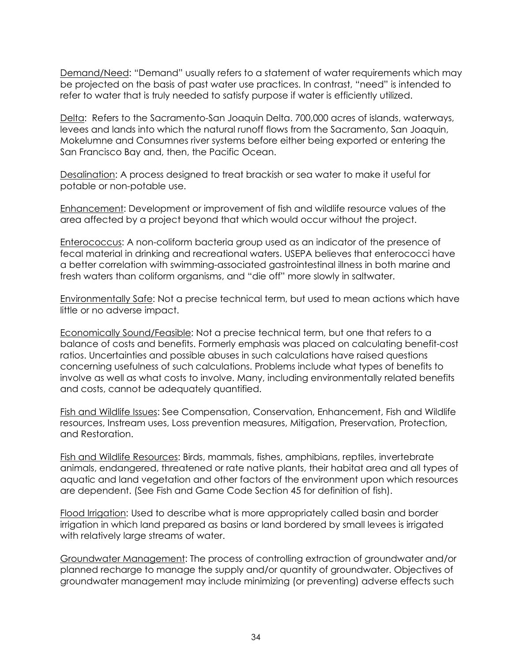Demand/Need: "Demand" usually refers to a statement of water requirements which may be projected on the basis of past water use practices. In contrast, "need" is intended to refer to water that is truly needed to satisfy purpose if water is efficiently utilized.

Delta: Refers to the Sacramento-San Joaquin Delta. 700,000 acres of islands, waterways, levees and lands into which the natural runoff flows from the Sacramento, San Joaquin, Mokelumne and Consumnes river systems before either being exported or entering the San Francisco Bay and, then, the Pacific Ocean.

Desalination: A process designed to treat brackish or sea water to make it useful for potable or non-potable use.

Enhancement: Development or improvement of fish and wildlife resource values of the area affected by a project beyond that which would occur without the project.

Enterococcus: A non-coliform bacteria group used as an indicator of the presence of fecal material in drinking and recreational waters. USEPA believes that enterococci have a better correlation with swimming-associated gastrointestinal illness in both marine and fresh waters than coliform organisms, and "die off" more slowly in saltwater.

Environmentally Safe: Not a precise technical term, but used to mean actions which have little or no adverse impact.

Economically Sound/Feasible: Not a precise technical term, but one that refers to a balance of costs and benefits. Formerly emphasis was placed on calculating benefit-cost ratios. Uncertainties and possible abuses in such calculations have raised questions concerning usefulness of such calculations. Problems include what types of benefits to involve as well as what costs to involve. Many, including environmentally related benefits and costs, cannot be adequately quantified.

Fish and Wildlife Issues: See Compensation, Conservation, Enhancement, Fish and Wildlife resources, Instream uses, Loss prevention measures, Mitigation, Preservation, Protection, and Restoration.

Fish and Wildlife Resources: Birds, mammals, fishes, amphibians, reptiles, invertebrate animals, endangered, threatened or rate native plants, their habitat area and all types of aquatic and land vegetation and other factors of the environment upon which resources are dependent. (See Fish and Game Code Section 45 for definition of fish).

Flood Irrigation: Used to describe what is more appropriately called basin and border irrigation in which land prepared as basins or land bordered by small levees is irrigated with relatively large streams of water.

Groundwater Management: The process of controlling extraction of groundwater and/or planned recharge to manage the supply and/or quantity of groundwater. Objectives of groundwater management may include minimizing (or preventing) adverse effects such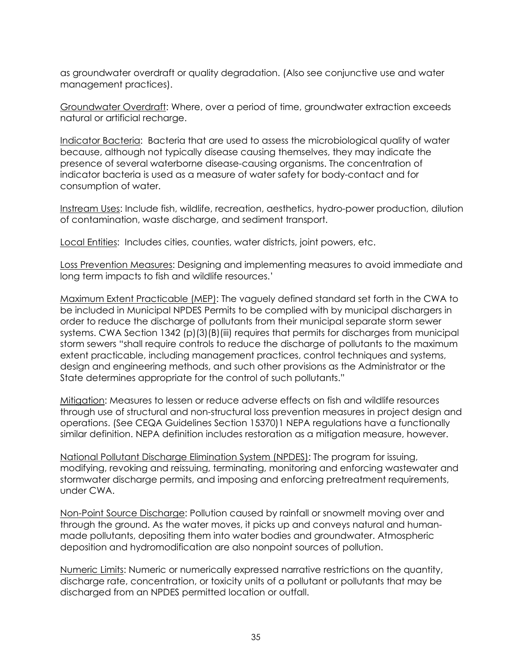as groundwater overdraft or quality degradation. (Also see conjunctive use and water management practices).

Groundwater Overdraft: Where, over a period of time, groundwater extraction exceeds natural or artificial recharge.

Indicator Bacteria: Bacteria that are used to assess the microbiological quality of water because, although not typically disease causing themselves, they may indicate the presence of several waterborne disease-causing organisms. The concentration of indicator bacteria is used as a measure of water safety for body-contact and for consumption of water.

Instream Uses: Include fish, wildlife, recreation, aesthetics, hydro-power production, dilution of contamination, waste discharge, and sediment transport.

Local Entities: Includes cities, counties, water districts, joint powers, etc.

Loss Prevention Measures: Designing and implementing measures to avoid immediate and long term impacts to fish and wildlife resources.'

Maximum Extent Practicable (MEP): The vaguely defined standard set forth in the CWA to be included in Municipal NPDES Permits to be complied with by municipal dischargers in order to reduce the discharge of pollutants from their municipal separate storm sewer systems. CWA Section 1342 (p)(3)(B)(iii) requires that permits for discharges from municipal storm sewers "shall require controls to reduce the discharge of pollutants to the maximum extent practicable, including management practices, control techniques and systems, design and engineering methods, and such other provisions as the Administrator or the State determines appropriate for the control of such pollutants."

Mitigation: Measures to lessen or reduce adverse effects on fish and wildlife resources through use of structural and non-structural loss prevention measures in project design and operations. (See CEQA Guidelines Section 15370)1 NEPA regulations have a functionally similar definition. NEPA definition includes restoration as a mitigation measure, however.

National Pollutant Discharge Elimination System (NPDES): The program for issuing, modifying, revoking and reissuing, terminating, monitoring and enforcing wastewater and stormwater discharge permits, and imposing and enforcing pretreatment requirements, under CWA.

Non-Point Source Discharge: Pollution caused by rainfall or snowmelt moving over and through the ground. As the water moves, it picks up and conveys natural and humanmade pollutants, depositing them into water bodies and groundwater. Atmospheric deposition and hydromodification are also nonpoint sources of pollution.

Numeric Limits: Numeric or numerically expressed narrative restrictions on the quantity, discharge rate, concentration, or toxicity units of a pollutant or pollutants that may be discharged from an NPDES permitted location or outfall.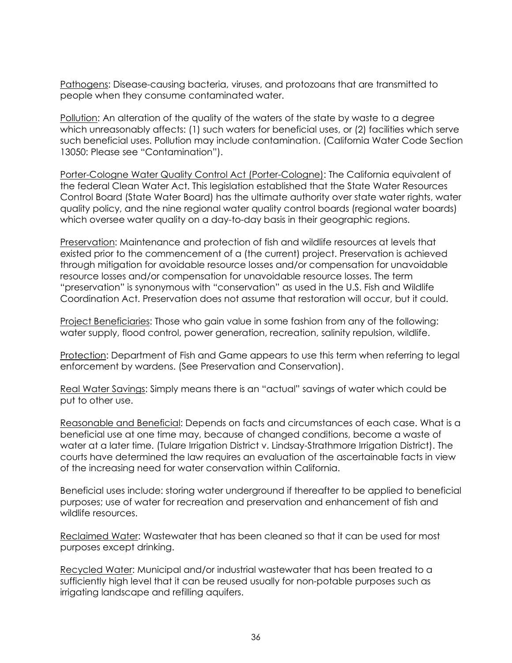Pathogens: Disease-causing bacteria, viruses, and protozoans that are transmitted to people when they consume contaminated water.

Pollution: An alteration of the quality of the waters of the state by waste to a degree which unreasonably affects: (1) such waters for beneficial uses, or (2) facilities which serve such beneficial uses. Pollution may include contamination. (California Water Code Section 13050: Please see "Contamination").

Porter-Cologne Water Quality Control Act (Porter-Cologne): The California equivalent of the federal Clean Water Act. This legislation established that the State Water Resources Control Board (State Water Board) has the ultimate authority over state water rights, water quality policy, and the nine regional water quality control boards (regional water boards) which oversee water quality on a day-to-day basis in their geographic regions.

Preservation: Maintenance and protection of fish and wildlife resources at levels that existed prior to the commencement of a (the current) project. Preservation is achieved through mitigation for avoidable resource losses and/or compensation for unavoidable resource losses and/or compensation for unavoidable resource losses. The term "preservation" is synonymous with "conservation" as used in the U.S. Fish and Wildlife Coordination Act. Preservation does not assume that restoration will occur, but it could.

Project Beneficiaries: Those who gain value in some fashion from any of the following: water supply, flood control, power generation, recreation, salinity repulsion, wildlife.

Protection: Department of Fish and Game appears to use this term when referring to legal enforcement by wardens. (See Preservation and Conservation).

Real Water Savings: Simply means there is an "actual" savings of water which could be put to other use.

Reasonable and Beneficial: Depends on facts and circumstances of each case. What is a beneficial use at one time may, because of changed conditions, become a waste of water at a later time. (Tulare Irrigation District v. Lindsay-Strathmore Irrigation District). The courts have determined the law requires an evaluation of the ascertainable facts in view of the increasing need for water conservation within California.

Beneficial uses include: storing water underground if thereafter to be applied to beneficial purposes; use of water for recreation and preservation and enhancement of fish and wildlife resources.

Reclaimed Water: Wastewater that has been cleaned so that it can be used for most purposes except drinking.

Recycled Water: Municipal and/or industrial wastewater that has been treated to a sufficiently high level that it can be reused usually for non-potable purposes such as irrigating landscape and refilling aquifers.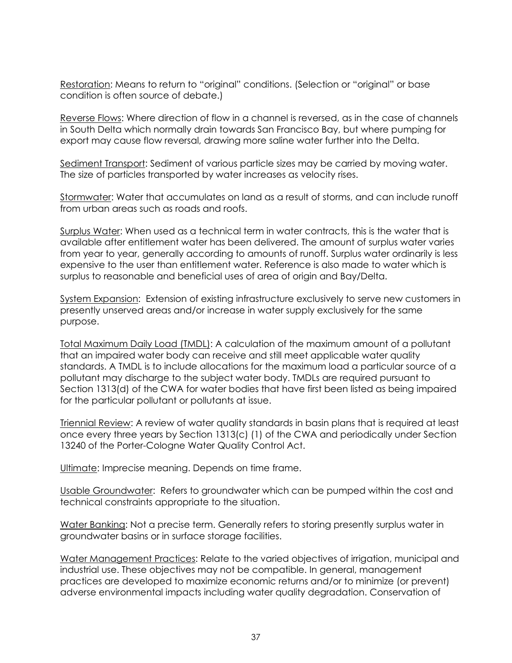Restoration: Means to return to "original" conditions. (Selection or "original" or base condition is often source of debate.)

Reverse Flows: Where direction of flow in a channel is reversed, as in the case of channels in South Delta which normally drain towards San Francisco Bay, but where pumping for export may cause flow reversal, drawing more saline water further into the Delta.

Sediment Transport: Sediment of various particle sizes may be carried by moving water. The size of particles transported by water increases as velocity rises.

Stormwater: Water that accumulates on land as a result of storms, and can include runoff from urban areas such as roads and roofs.

Surplus Water: When used as a technical term in water contracts, this is the water that is available after entitlement water has been delivered. The amount of surplus water varies from year to year, generally according to amounts of runoff. Surplus water ordinarily is less expensive to the user than entitlement water. Reference is also made to water which is surplus to reasonable and beneficial uses of area of origin and Bay/Delta.

System Expansion: Extension of existing infrastructure exclusively to serve new customers in presently unserved areas and/or increase in water supply exclusively for the same purpose.

Total Maximum Daily Load (TMDL): A calculation of the maximum amount of a pollutant that an impaired water body can receive and still meet applicable water quality standards. A TMDL is to include allocations for the maximum load a particular source of a pollutant may discharge to the subject water body. TMDLs are required pursuant to Section 1313(d) of the CWA for water bodies that have first been listed as being impaired for the particular pollutant or pollutants at issue.

Triennial Review: A review of water quality standards in basin plans that is required at least once every three years by Section 1313(c) (1) of the CWA and periodically under Section 13240 of the Porter-Cologne Water Quality Control Act.

Ultimate: Imprecise meaning. Depends on time frame.

Usable Groundwater: Refers to groundwater which can be pumped within the cost and technical constraints appropriate to the situation.

Water Banking: Not a precise term. Generally refers to storing presently surplus water in groundwater basins or in surface storage facilities.

Water Management Practices: Relate to the varied objectives of irrigation, municipal and industrial use. These objectives may not be compatible. In general, management practices are developed to maximize economic returns and/or to minimize (or prevent) adverse environmental impacts including water quality degradation. Conservation of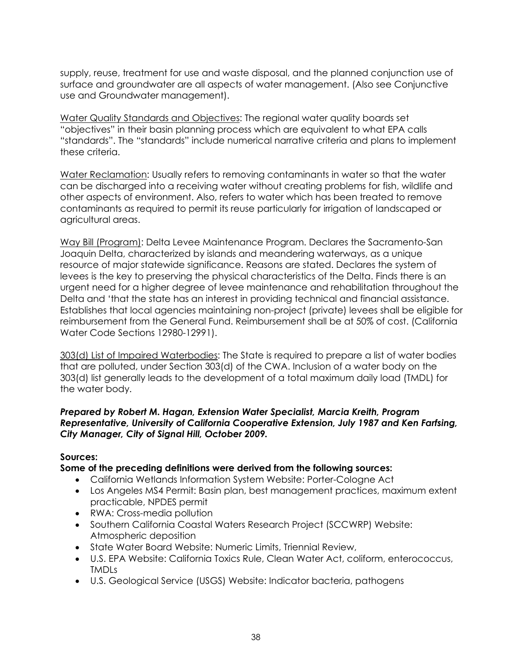supply, reuse, treatment for use and waste disposal, and the planned conjunction use of surface and groundwater are all aspects of water management. (Also see Conjunctive use and Groundwater management).

Water Quality Standards and Objectives: The regional water quality boards set "objectives" in their basin planning process which are equivalent to what EPA calls "standards". The "standards" include numerical narrative criteria and plans to implement these criteria.

Water Reclamation: Usually refers to removing contaminants in water so that the water can be discharged into a receiving water without creating problems for fish, wildlife and other aspects of environment. Also, refers to water which has been treated to remove contaminants as required to permit its reuse particularly for irrigation of landscaped or agricultural areas.

Way Bill (Program): Delta Levee Maintenance Program. Declares the Sacramento-San Joaquin Delta, characterized by islands and meandering waterways, as a unique resource of major statewide significance. Reasons are stated. Declares the system of levees is the key to preserving the physical characteristics of the Delta. Finds there is an urgent need for a higher degree of levee maintenance and rehabilitation throughout the Delta and 'that the state has an interest in providing technical and financial assistance. Establishes that local agencies maintaining non-project (private) levees shall be eligible for reimbursement from the General Fund. Reimbursement shall be at 50% of cost. (California Water Code Sections 12980-12991).

303(d) List of Impaired Waterbodies: The State is required to prepare a list of water bodies that are polluted, under Section 303(d) of the CWA. Inclusion of a water body on the 303(d) list generally leads to the development of a total maximum daily load (TMDL) for the water body.

#### *Prepared by Robert M. Hagan, Extension Water Specialist, Marcia Kreith, Program Representative, University of California Cooperative Extension, July 1987 and Ken Farfsing, City Manager, City of Signal Hill, October 2009.*

#### **Sources:**

#### **Some of the preceding definitions were derived from the following sources:**

- California Wetlands Information System Website: Porter-Cologne Act
- Los Angeles MS4 Permit: Basin plan, best management practices, maximum extent practicable, NPDES permit
- RWA: Cross-media pollution
- Southern California Coastal Waters Research Project (SCCWRP) Website: Atmospheric deposition
- State Water Board Website: Numeric Limits, Triennial Review,
- U.S. EPA Website: California Toxics Rule, Clean Water Act, coliform, enterococcus, TMDLs
- U.S. Geological Service (USGS) Website: Indicator bacteria, pathogens